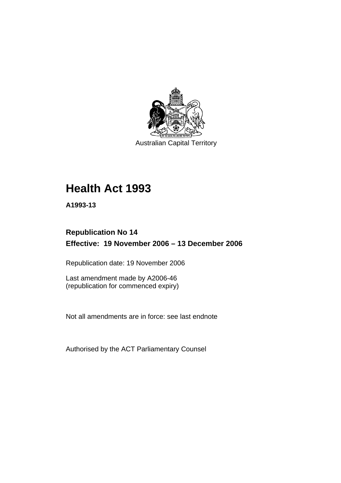

Australian Capital Territory

# **Health Act 1993**

**A1993-13** 

# **Republication No 14 Effective: 19 November 2006 – 13 December 2006**

Republication date: 19 November 2006

Last amendment made by A2006-46 (republication for commenced expiry)

Not all amendments are in force: see last endnote

Authorised by the ACT Parliamentary Counsel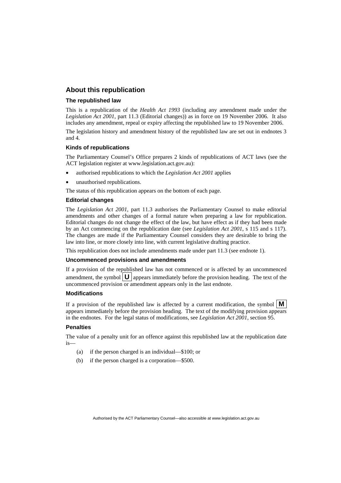#### **About this republication**

#### **The republished law**

This is a republication of the *Health Act 1993* (including any amendment made under the *Legislation Act 2001*, part 11.3 (Editorial changes)) as in force on 19 November 2006*.* It also includes any amendment, repeal or expiry affecting the republished law to 19 November 2006.

The legislation history and amendment history of the republished law are set out in endnotes 3 and 4.

#### **Kinds of republications**

The Parliamentary Counsel's Office prepares 2 kinds of republications of ACT laws (see the ACT legislation register at www.legislation.act.gov.au):

- authorised republications to which the *Legislation Act 2001* applies
- unauthorised republications.

The status of this republication appears on the bottom of each page.

#### **Editorial changes**

The *Legislation Act 2001*, part 11.3 authorises the Parliamentary Counsel to make editorial amendments and other changes of a formal nature when preparing a law for republication. Editorial changes do not change the effect of the law, but have effect as if they had been made by an Act commencing on the republication date (see *Legislation Act 2001*, s 115 and s 117). The changes are made if the Parliamentary Counsel considers they are desirable to bring the law into line, or more closely into line, with current legislative drafting practice.

This republication does not include amendments made under part 11.3 (see endnote 1).

#### **Uncommenced provisions and amendments**

If a provision of the republished law has not commenced or is affected by an uncommenced amendment, the symbol  $\mathbf{U}$  appears immediately before the provision heading. The text of the uncommenced provision or amendment appears only in the last endnote.

#### **Modifications**

If a provision of the republished law is affected by a current modification, the symbol  $\mathbf{M}$ appears immediately before the provision heading. The text of the modifying provision appears in the endnotes. For the legal status of modifications, see *Legislation Act 2001*, section 95.

#### **Penalties**

The value of a penalty unit for an offence against this republished law at the republication date is—

- (a) if the person charged is an individual—\$100; or
- (b) if the person charged is a corporation—\$500.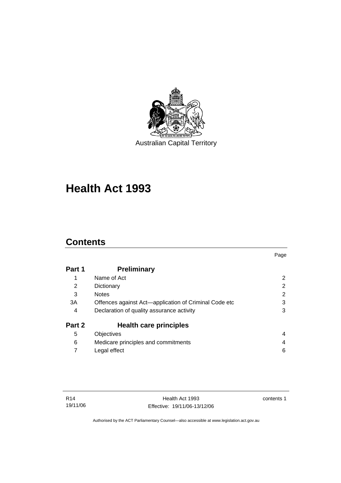

**Health Act 1993** 

# **Contents**

|                                                       | Page |
|-------------------------------------------------------|------|
| <b>Preliminary</b>                                    |      |
| Name of Act                                           | 2    |
| Dictionary                                            | 2    |
| <b>Notes</b>                                          | 2    |
| Offences against Act-application of Criminal Code etc | 3    |
| Declaration of quality assurance activity             | 3    |
| <b>Health care principles</b>                         |      |
| Objectives                                            | 4    |
| Medicare principles and commitments                   | 4    |
| Legal effect                                          | 6    |
|                                                       |      |

contents 1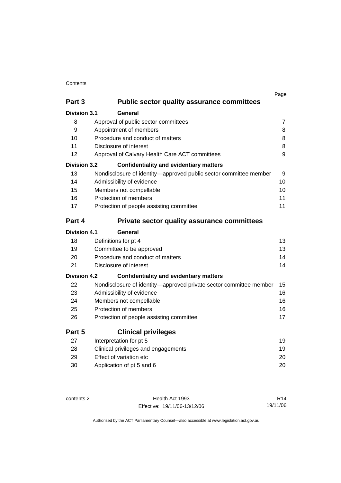#### Contents

|                     |                                                                    | Page           |
|---------------------|--------------------------------------------------------------------|----------------|
| Part 3              | <b>Public sector quality assurance committees</b>                  |                |
| <b>Division 3.1</b> | General                                                            |                |
| 8                   | Approval of public sector committees                               | $\overline{7}$ |
| 9                   | Appointment of members                                             | 8              |
| 10                  | Procedure and conduct of matters                                   | 8              |
| 11                  | Disclosure of interest                                             | 8              |
| 12                  | Approval of Calvary Health Care ACT committees                     | 9              |
| <b>Division 3.2</b> | <b>Confidentiality and evidentiary matters</b>                     |                |
| 13                  | Nondisclosure of identity-approved public sector committee member  | 9              |
| 14                  | Admissibility of evidence                                          | 10             |
| 15                  | Members not compellable                                            | 10             |
| 16                  | Protection of members                                              | 11             |
| 17                  | Protection of people assisting committee                           | 11             |
| Part 4              | <b>Private sector quality assurance committees</b>                 |                |
| <b>Division 4.1</b> | General                                                            |                |
| 18                  | Definitions for pt 4                                               | 13             |
| 19                  | Committee to be approved                                           | 13             |
| 20                  | Procedure and conduct of matters                                   | 14             |
| 21                  | Disclosure of interest                                             | 14             |
| <b>Division 4.2</b> | <b>Confidentiality and evidentiary matters</b>                     |                |
| 22                  | Nondisclosure of identity-approved private sector committee member | 15             |
| 23                  | Admissibility of evidence                                          | 16             |
| 24                  | Members not compellable                                            | 16             |
| 25                  | Protection of members                                              | 16             |
| 26                  | Protection of people assisting committee                           | 17             |
| Part 5              | <b>Clinical privileges</b>                                         |                |
| 27                  | Interpretation for pt 5                                            | 19             |
| 28                  | Clinical privileges and engagements                                | 19             |
| 29                  | Effect of variation etc                                            | 20             |
| 30                  | Application of pt 5 and 6                                          | 20             |

contents 2 Health Act 1993 Effective: 19/11/06-13/12/06

R14 19/11/06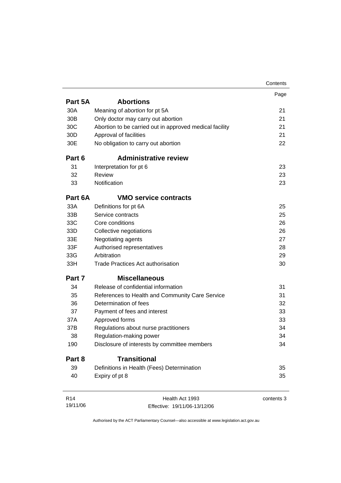|                 |                                                         | Contents   |
|-----------------|---------------------------------------------------------|------------|
|                 |                                                         | Page       |
| Part 5A         | <b>Abortions</b>                                        |            |
| 30A             | Meaning of abortion for pt 5A                           | 21         |
| 30 <sub>B</sub> | Only doctor may carry out abortion                      | 21         |
| 30C             | Abortion to be carried out in approved medical facility | 21         |
| 30 <sub>D</sub> | Approval of facilities                                  | 21         |
| 30E             | No obligation to carry out abortion                     | 22         |
| Part 6          | <b>Administrative review</b>                            |            |
| 31              | Interpretation for pt 6                                 | 23         |
| 32              | <b>Review</b>                                           | 23         |
| 33              | Notification                                            | 23         |
| Part 6A         | <b>VMO service contracts</b>                            |            |
| 33A             | Definitions for pt 6A                                   | 25         |
| 33B             | Service contracts                                       | 25         |
| 33C             | Core conditions                                         | 26         |
| 33D             | Collective negotiations                                 | 26         |
| 33E             | Negotiating agents                                      | 27         |
| 33F             | Authorised representatives                              | 28         |
| 33G             | Arbitration                                             | 29         |
| 33H             | <b>Trade Practices Act authorisation</b>                | 30         |
| Part 7          | <b>Miscellaneous</b>                                    |            |
| 34              | Release of confidential information                     | 31         |
| 35              | References to Health and Community Care Service         | 31         |
| 36              | Determination of fees                                   | 32         |
| 37              | Payment of fees and interest                            | 33         |
| 37A             | Approved forms                                          | 33         |
| 37B             | Regulations about nurse practitioners                   | 34         |
| 38              | Regulation-making power                                 | 34         |
| 190             | Disclosure of interests by committee members            | 34         |
| Part 8          | <b>Transitional</b>                                     |            |
| 39              | Definitions in Health (Fees) Determination              | 35         |
| 40              | Expiry of pt 8                                          | 35         |
| R <sub>14</sub> | Health Act 1993                                         | contents 3 |
| 19/11/06        | Effective: 19/11/06-13/12/06                            |            |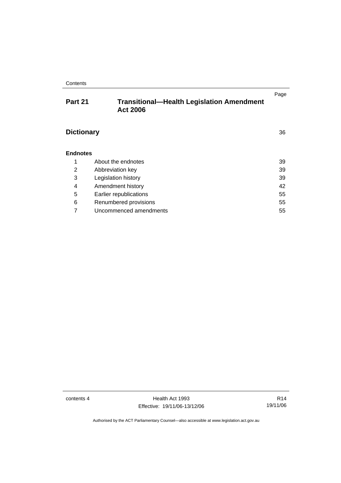#### **Contents**

## **Part 21 Transitional—Health Legislation Amendment Act 2006**

# **Dictionary** 36

| <b>Endnotes</b> |                        |    |
|-----------------|------------------------|----|
| 1               | About the endnotes     | 39 |
| 2               | Abbreviation key       | 39 |
| 3               | Legislation history    | 39 |
| 4               | Amendment history      | 42 |
| 5               | Earlier republications | 55 |
| 6               | Renumbered provisions  | 55 |
|                 | Uncommenced amendments | 55 |

contents 4 Health Act 1993 Effective: 19/11/06-13/12/06

R14 19/11/06

Page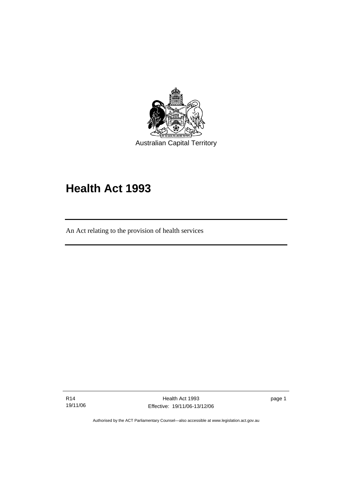

# **Health Act 1993**

An Act relating to the provision of health services

R14 19/11/06

l

Health Act 1993 Effective: 19/11/06-13/12/06

page 1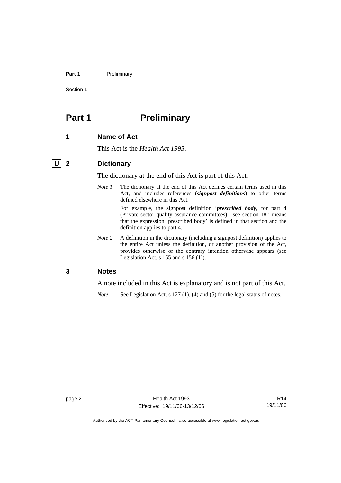#### Part 1 **Preliminary**

Section 1

# **Part 1** Preliminary

#### **1 Name of Act**

This Act is the *Health Act 1993*.

#### **U 2 Dictionary**

The dictionary at the end of this Act is part of this Act.

*Note 1* The dictionary at the end of this Act defines certain terms used in this Act, and includes references (*signpost definitions*) to other terms defined elsewhere in this Act.

> For example, the signpost definition '*prescribed body*, for part 4 (Private sector quality assurance committees)—see section 18.' means that the expression 'prescribed body' is defined in that section and the definition applies to part 4.

*Note* 2 A definition in the dictionary (including a signpost definition) applies to the entire Act unless the definition, or another provision of the Act, provides otherwise or the contrary intention otherwise appears (see Legislation Act, s 155 and s 156 (1)).

#### **3 Notes**

A note included in this Act is explanatory and is not part of this Act.

*Note* See Legislation Act, s 127 (1), (4) and (5) for the legal status of notes.

R14 19/11/06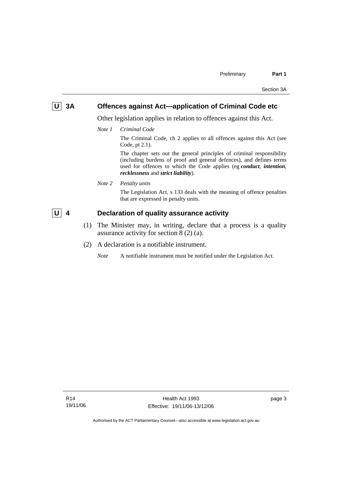# **U 3A** Offences against Act—application of Criminal Code etc

Other legislation applies in relation to offences against this Act.

*Note 1 Criminal Code*

The Criminal Code, ch 2 applies to all offences against this Act (see Code, pt 2.1).

The chapter sets out the general principles of criminal responsibility (including burdens of proof and general defences), and defines terms used for offences to which the Code applies (eg *conduct*, *intention*, *recklessness* and *strict liability*).

*Note 2 Penalty units* 

The Legislation Act, s 133 deals with the meaning of offence penalties that are expressed in penalty units.

## **U** 4 Declaration of quality assurance activity

- (1) The Minister may, in writing, declare that a process is a quality assurance activity for section 8 (2) (a).
- (2) A declaration is a notifiable instrument.

*Note* A notifiable instrument must be notified under the Legislation Act.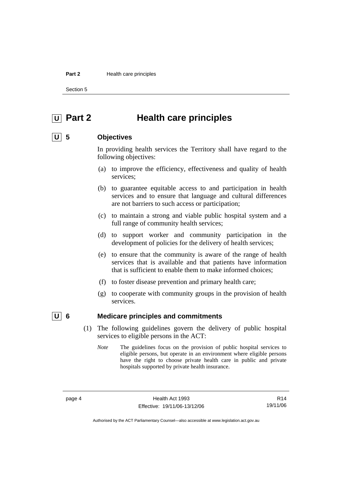#### **Part 2 Health care principles**

Section 5

# **U Part 2 Health care principles**

## **U 5 Objectives**

In providing health services the Territory shall have regard to the following objectives:

- (a) to improve the efficiency, effectiveness and quality of health services;
- (b) to guarantee equitable access to and participation in health services and to ensure that language and cultural differences are not barriers to such access or participation;
- (c) to maintain a strong and viable public hospital system and a full range of community health services;
- (d) to support worker and community participation in the development of policies for the delivery of health services;
- (e) to ensure that the community is aware of the range of health services that is available and that patients have information that is sufficient to enable them to make informed choices;
- (f) to foster disease prevention and primary health care;
- (g) to cooperate with community groups in the provision of health services.

#### **<u>U**</u> 6 Medicare principles and commitments

 (1) The following guidelines govern the delivery of public hospital services to eligible persons in the ACT:

*Note* The guidelines focus on the provision of public hospital services to eligible persons, but operate in an environment where eligible persons have the right to choose private health care in public and private hospitals supported by private health insurance.

R14 19/11/06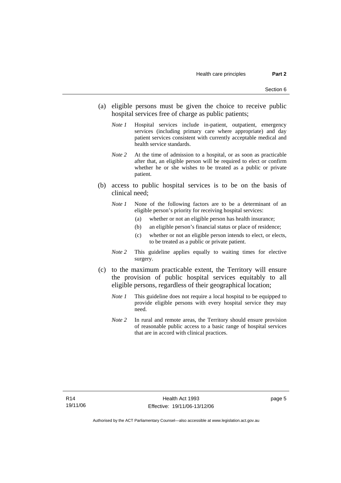- (a) eligible persons must be given the choice to receive public hospital services free of charge as public patients;
	- *Note 1* Hospital services include in-patient, outpatient, emergency services (including primary care where appropriate) and day patient services consistent with currently acceptable medical and health service standards.
	- *Note 2* At the time of admission to a hospital, or as soon as practicable after that, an eligible person will be required to elect or confirm whether he or she wishes to be treated as a public or private patient.
- (b) access to public hospital services is to be on the basis of clinical need;
	- *Note 1* None of the following factors are to be a determinant of an eligible person's priority for receiving hospital services:
		- (a) whether or not an eligible person has health insurance;
		- (b) an eligible person's financial status or place of residence;
		- (c) whether or not an eligible person intends to elect, or elects, to be treated as a public or private patient.
	- *Note 2* This guideline applies equally to waiting times for elective surgery.
- (c) to the maximum practicable extent, the Territory will ensure the provision of public hospital services equitably to all eligible persons, regardless of their geographical location;
	- *Note 1* This guideline does not require a local hospital to be equipped to provide eligible persons with every hospital service they may need.
	- *Note 2* In rural and remote areas, the Territory should ensure provision of reasonable public access to a basic range of hospital services that are in accord with clinical practices.

page 5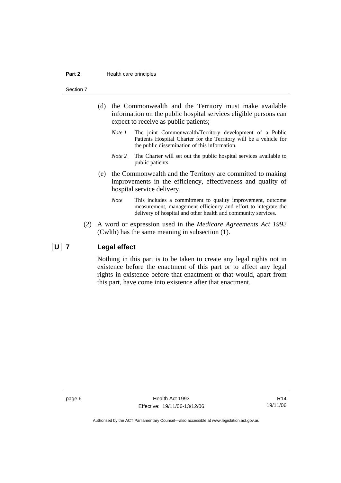#### **Part 2 Health care principles**

#### Section 7

- (d) the Commonwealth and the Territory must make available information on the public hospital services eligible persons can expect to receive as public patients;
	- *Note 1* The joint Commonwealth/Territory development of a Public Patients Hospital Charter for the Territory will be a vehicle for the public dissemination of this information.
	- *Note 2* The Charter will set out the public hospital services available to public patients.
- (e) the Commonwealth and the Territory are committed to making improvements in the efficiency, effectiveness and quality of hospital service delivery.
	- *Note* This includes a commitment to quality improvement, outcome measurement, management efficiency and effort to integrate the delivery of hospital and other health and community services.
- (2) A word or expression used in the *Medicare Agreements Act 1992* (Cwlth) has the same meaning in subsection (1).

#### **U 7 Legal effect**

Nothing in this part is to be taken to create any legal rights not in existence before the enactment of this part or to affect any legal rights in existence before that enactment or that would, apart from this part, have come into existence after that enactment.

page 6 **Health Act 1993** Effective: 19/11/06-13/12/06

R14 19/11/06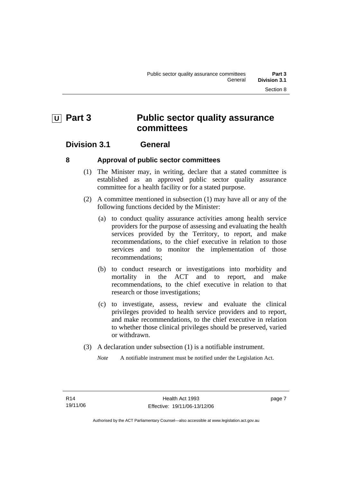# **U** Part 3 Public sector quality assurance **committees**

## **Division 3.1 General**

#### **8 Approval of public sector committees**

- (1) The Minister may, in writing, declare that a stated committee is established as an approved public sector quality assurance committee for a health facility or for a stated purpose.
- (2) A committee mentioned in subsection (1) may have all or any of the following functions decided by the Minister:
	- (a) to conduct quality assurance activities among health service providers for the purpose of assessing and evaluating the health services provided by the Territory, to report, and make recommendations, to the chief executive in relation to those services and to monitor the implementation of those recommendations;
	- (b) to conduct research or investigations into morbidity and mortality in the ACT and to report, and make recommendations, to the chief executive in relation to that research or those investigations;
	- (c) to investigate, assess, review and evaluate the clinical privileges provided to health service providers and to report, and make recommendations, to the chief executive in relation to whether those clinical privileges should be preserved, varied or withdrawn.
- (3) A declaration under subsection (1) is a notifiable instrument.
	- *Note* A notifiable instrument must be notified under the Legislation Act.

page 7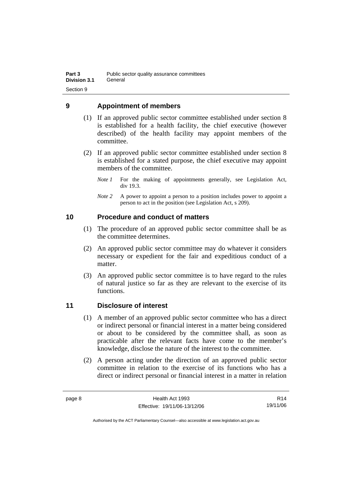## **9 Appointment of members**

- (1) If an approved public sector committee established under section 8 is established for a health facility, the chief executive (however described) of the health facility may appoint members of the committee.
- (2) If an approved public sector committee established under section 8 is established for a stated purpose, the chief executive may appoint members of the committee.
	- *Note 1* For the making of appointments generally, see Legislation Act, div 19.3.
	- *Note* 2 A power to appoint a person to a position includes power to appoint a person to act in the position (see Legislation Act, s 209).

## **10 Procedure and conduct of matters**

- (1) The procedure of an approved public sector committee shall be as the committee determines.
- (2) An approved public sector committee may do whatever it considers necessary or expedient for the fair and expeditious conduct of a matter.
- (3) An approved public sector committee is to have regard to the rules of natural justice so far as they are relevant to the exercise of its functions.

## **11 Disclosure of interest**

- (1) A member of an approved public sector committee who has a direct or indirect personal or financial interest in a matter being considered or about to be considered by the committee shall, as soon as practicable after the relevant facts have come to the member's knowledge, disclose the nature of the interest to the committee.
- (2) A person acting under the direction of an approved public sector committee in relation to the exercise of its functions who has a direct or indirect personal or financial interest in a matter in relation

R14 19/11/06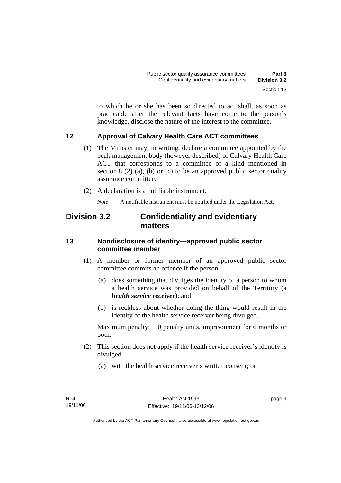to which he or she has been so directed to act shall, as soon as practicable after the relevant facts have come to the person's knowledge, disclose the nature of the interest to the committee.

## **12 Approval of Calvary Health Care ACT committees**

- (1) The Minister may, in writing, declare a committee appointed by the peak management body (however described) of Calvary Health Care ACT that corresponds to a committee of a kind mentioned in section  $8(2)$  (a), (b) or (c) to be an approved public sector quality assurance committee.
- (2) A declaration is a notifiable instrument.

*Note* A notifiable instrument must be notified under the Legislation Act.

# **Division 3.2 Confidentiality and evidentiary matters**

#### **13 Nondisclosure of identity—approved public sector committee member**

- (1) A member or former member of an approved public sector committee commits an offence if the person—
	- (a) does something that divulges the identity of a person to whom a health service was provided on behalf of the Territory (a *health service receiver*); and
	- (b) is reckless about whether doing the thing would result in the identity of the health service receiver being divulged.

Maximum penalty: 50 penalty units, imprisonment for 6 months or both.

- (2) This section does not apply if the health service receiver's identity is divulged—
	- (a) with the health service receiver's written consent; or

page 9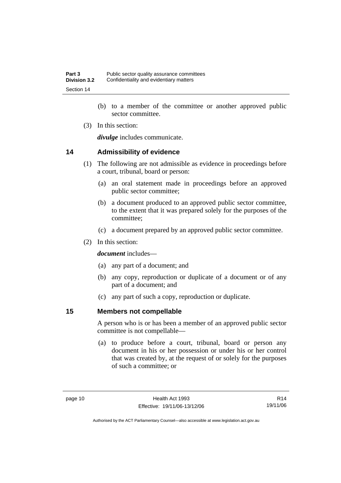- (b) to a member of the committee or another approved public sector committee.
- (3) In this section:

*divulge* includes communicate.

#### **14 Admissibility of evidence**

- (1) The following are not admissible as evidence in proceedings before a court, tribunal, board or person:
	- (a) an oral statement made in proceedings before an approved public sector committee;
	- (b) a document produced to an approved public sector committee, to the extent that it was prepared solely for the purposes of the committee;
	- (c) a document prepared by an approved public sector committee.
- (2) In this section:

*document* includes—

- (a) any part of a document; and
- (b) any copy, reproduction or duplicate of a document or of any part of a document; and
- (c) any part of such a copy, reproduction or duplicate.

#### **15 Members not compellable**

A person who is or has been a member of an approved public sector committee is not compellable—

 (a) to produce before a court, tribunal, board or person any document in his or her possession or under his or her control that was created by, at the request of or solely for the purposes of such a committee; or

R14 19/11/06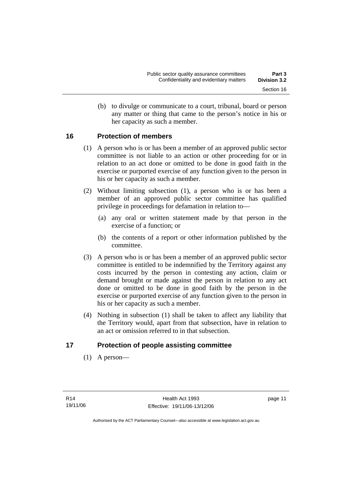(b) to divulge or communicate to a court, tribunal, board or person any matter or thing that came to the person's notice in his or her capacity as such a member.

## **16 Protection of members**

- (1) A person who is or has been a member of an approved public sector committee is not liable to an action or other proceeding for or in relation to an act done or omitted to be done in good faith in the exercise or purported exercise of any function given to the person in his or her capacity as such a member.
- (2) Without limiting subsection (1), a person who is or has been a member of an approved public sector committee has qualified privilege in proceedings for defamation in relation to—
	- (a) any oral or written statement made by that person in the exercise of a function; or
	- (b) the contents of a report or other information published by the committee.
- (3) A person who is or has been a member of an approved public sector committee is entitled to be indemnified by the Territory against any costs incurred by the person in contesting any action, claim or demand brought or made against the person in relation to any act done or omitted to be done in good faith by the person in the exercise or purported exercise of any function given to the person in his or her capacity as such a member.
- (4) Nothing in subsection (1) shall be taken to affect any liability that the Territory would, apart from that subsection, have in relation to an act or omission referred to in that subsection.

#### **17 Protection of people assisting committee**

(1) A person—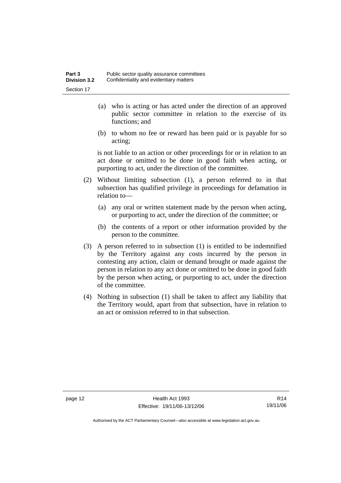- (a) who is acting or has acted under the direction of an approved public sector committee in relation to the exercise of its functions; and
- (b) to whom no fee or reward has been paid or is payable for so acting;

is not liable to an action or other proceedings for or in relation to an act done or omitted to be done in good faith when acting, or purporting to act, under the direction of the committee.

- (2) Without limiting subsection (1), a person referred to in that subsection has qualified privilege in proceedings for defamation in relation to—
	- (a) any oral or written statement made by the person when acting, or purporting to act, under the direction of the committee; or
	- (b) the contents of a report or other information provided by the person to the committee.
- (3) A person referred to in subsection (1) is entitled to be indemnified by the Territory against any costs incurred by the person in contesting any action, claim or demand brought or made against the person in relation to any act done or omitted to be done in good faith by the person when acting, or purporting to act, under the direction of the committee.
- (4) Nothing in subsection (1) shall be taken to affect any liability that the Territory would, apart from that subsection, have in relation to an act or omission referred to in that subsection.

page 12 Health Act 1993 Effective: 19/11/06-13/12/06

R14 19/11/06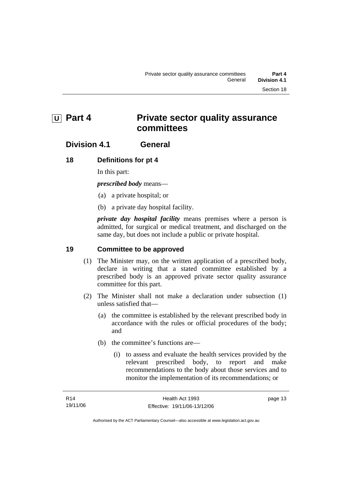# **U Part 4** Private sector quality assurance **committees**

## **Division 4.1 General**

#### **18 Definitions for pt 4**

In this part:

*prescribed body* means—

- (a) a private hospital; or
- (b) a private day hospital facility.

*private day hospital facility* means premises where a person is admitted, for surgical or medical treatment, and discharged on the same day, but does not include a public or private hospital.

#### **19 Committee to be approved**

- (1) The Minister may, on the written application of a prescribed body, declare in writing that a stated committee established by a prescribed body is an approved private sector quality assurance committee for this part.
- (2) The Minister shall not make a declaration under subsection (1) unless satisfied that—
	- (a) the committee is established by the relevant prescribed body in accordance with the rules or official procedures of the body; and
	- (b) the committee's functions are—
		- (i) to assess and evaluate the health services provided by the relevant prescribed body, to report and make recommendations to the body about those services and to monitor the implementation of its recommendations; or

page 13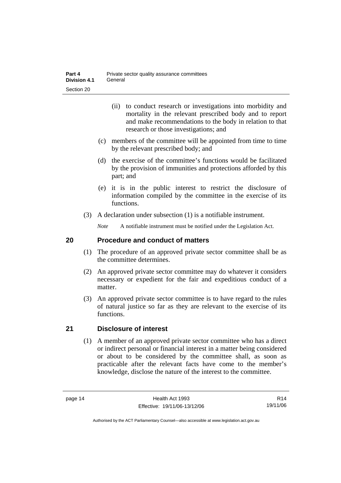- (ii) to conduct research or investigations into morbidity and mortality in the relevant prescribed body and to report and make recommendations to the body in relation to that research or those investigations; and
- (c) members of the committee will be appointed from time to time by the relevant prescribed body; and
- (d) the exercise of the committee's functions would be facilitated by the provision of immunities and protections afforded by this part; and
- (e) it is in the public interest to restrict the disclosure of information compiled by the committee in the exercise of its functions.
- (3) A declaration under subsection (1) is a notifiable instrument.

*Note* A notifiable instrument must be notified under the Legislation Act.

#### **20 Procedure and conduct of matters**

- (1) The procedure of an approved private sector committee shall be as the committee determines.
- (2) An approved private sector committee may do whatever it considers necessary or expedient for the fair and expeditious conduct of a matter.
- (3) An approved private sector committee is to have regard to the rules of natural justice so far as they are relevant to the exercise of its functions.

## **21 Disclosure of interest**

 (1) A member of an approved private sector committee who has a direct or indirect personal or financial interest in a matter being considered or about to be considered by the committee shall, as soon as practicable after the relevant facts have come to the member's knowledge, disclose the nature of the interest to the committee.

R14 19/11/06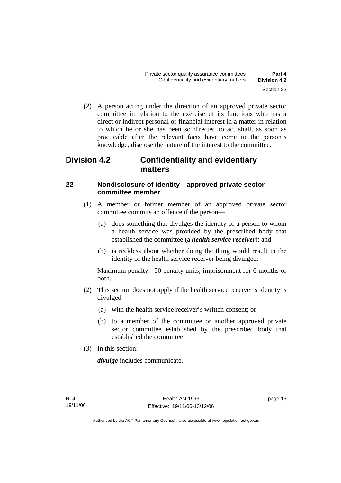(2) A person acting under the direction of an approved private sector committee in relation to the exercise of its functions who has a direct or indirect personal or financial interest in a matter in relation to which he or she has been so directed to act shall, as soon as practicable after the relevant facts have come to the person's knowledge, disclose the nature of the interest to the committee.

# **Division 4.2 Confidentiality and evidentiary matters**

## **22 Nondisclosure of identity—approved private sector committee member**

- (1) A member or former member of an approved private sector committee commits an offence if the person—
	- (a) does something that divulges the identity of a person to whom a health service was provided by the prescribed body that established the committee (a *health service receiver*); and
	- (b) is reckless about whether doing the thing would result in the identity of the health service receiver being divulged.

Maximum penalty: 50 penalty units, imprisonment for 6 months or both.

- (2) This section does not apply if the health service receiver's identity is divulged—
	- (a) with the health service receiver's written consent; or
	- (b) to a member of the committee or another approved private sector committee established by the prescribed body that established the committee.
- (3) In this section:

*divulge* includes communicate.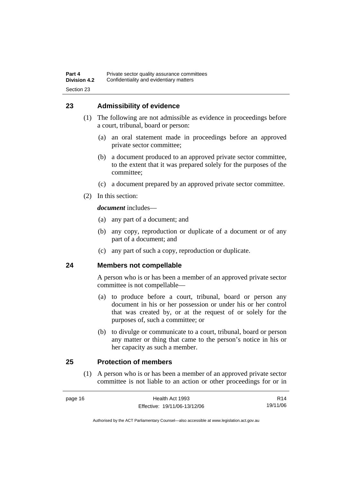#### **23 Admissibility of evidence**

- (1) The following are not admissible as evidence in proceedings before a court, tribunal, board or person:
	- (a) an oral statement made in proceedings before an approved private sector committee;
	- (b) a document produced to an approved private sector committee, to the extent that it was prepared solely for the purposes of the committee;
	- (c) a document prepared by an approved private sector committee.
- (2) In this section:

*document* includes—

- (a) any part of a document; and
- (b) any copy, reproduction or duplicate of a document or of any part of a document; and
- (c) any part of such a copy, reproduction or duplicate.

#### **24 Members not compellable**

A person who is or has been a member of an approved private sector committee is not compellable—

- (a) to produce before a court, tribunal, board or person any document in his or her possession or under his or her control that was created by, or at the request of or solely for the purposes of, such a committee; or
- (b) to divulge or communicate to a court, tribunal, board or person any matter or thing that came to the person's notice in his or her capacity as such a member.

### **25 Protection of members**

 (1) A person who is or has been a member of an approved private sector committee is not liable to an action or other proceedings for or in

| page 16 | Health Act 1993              | R14      |
|---------|------------------------------|----------|
|         | Effective: 19/11/06-13/12/06 | 19/11/06 |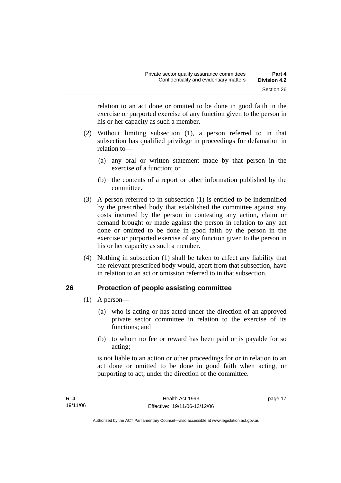relation to an act done or omitted to be done in good faith in the exercise or purported exercise of any function given to the person in his or her capacity as such a member.

- (2) Without limiting subsection (1), a person referred to in that subsection has qualified privilege in proceedings for defamation in relation to—
	- (a) any oral or written statement made by that person in the exercise of a function; or
	- (b) the contents of a report or other information published by the committee.
- (3) A person referred to in subsection (1) is entitled to be indemnified by the prescribed body that established the committee against any costs incurred by the person in contesting any action, claim or demand brought or made against the person in relation to any act done or omitted to be done in good faith by the person in the exercise or purported exercise of any function given to the person in his or her capacity as such a member.
- (4) Nothing in subsection (1) shall be taken to affect any liability that the relevant prescribed body would, apart from that subsection, have in relation to an act or omission referred to in that subsection.

## **26 Protection of people assisting committee**

- (1) A person—
	- (a) who is acting or has acted under the direction of an approved private sector committee in relation to the exercise of its functions; and
	- (b) to whom no fee or reward has been paid or is payable for so acting;

is not liable to an action or other proceedings for or in relation to an act done or omitted to be done in good faith when acting, or purporting to act, under the direction of the committee.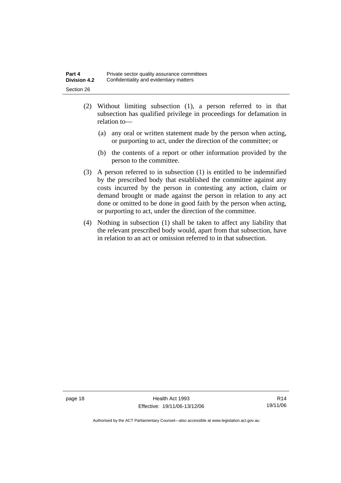| Part 4              | Private sector quality assurance committees |
|---------------------|---------------------------------------------|
| <b>Division 4.2</b> | Confidentiality and evidentiary matters     |
| Section 26          |                                             |

- (2) Without limiting subsection (1), a person referred to in that subsection has qualified privilege in proceedings for defamation in relation to—
	- (a) any oral or written statement made by the person when acting, or purporting to act, under the direction of the committee; or
	- (b) the contents of a report or other information provided by the person to the committee.
- (3) A person referred to in subsection (1) is entitled to be indemnified by the prescribed body that established the committee against any costs incurred by the person in contesting any action, claim or demand brought or made against the person in relation to any act done or omitted to be done in good faith by the person when acting, or purporting to act, under the direction of the committee.
- (4) Nothing in subsection (1) shall be taken to affect any liability that the relevant prescribed body would, apart from that subsection, have in relation to an act or omission referred to in that subsection.

page 18 Health Act 1993 Effective: 19/11/06-13/12/06

R14 19/11/06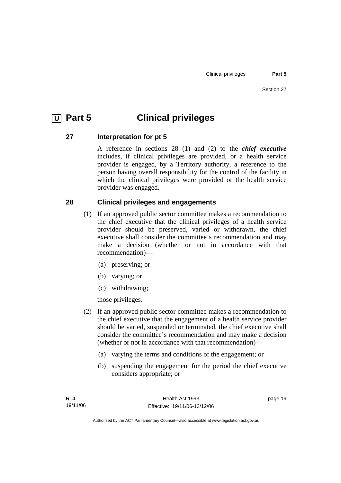# **U** Part 5 **Clinical privileges**

#### **27 Interpretation for pt 5**

A reference in sections 28 (1) and (2) to the *chief executive* includes, if clinical privileges are provided, or a health service provider is engaged, by a Territory authority, a reference to the person having overall responsibility for the control of the facility in which the clinical privileges were provided or the health service provider was engaged.

#### **28 Clinical privileges and engagements**

- (1) If an approved public sector committee makes a recommendation to the chief executive that the clinical privileges of a health service provider should be preserved, varied or withdrawn, the chief executive shall consider the committee's recommendation and may make a decision (whether or not in accordance with that recommendation)—
	- (a) preserving; or
	- (b) varying; or
	- (c) withdrawing;

those privileges.

- (2) If an approved public sector committee makes a recommendation to the chief executive that the engagement of a health service provider should be varied, suspended or terminated, the chief executive shall consider the committee's recommendation and may make a decision (whether or not in accordance with that recommendation)—
	- (a) varying the terms and conditions of the engagement; or
	- (b) suspending the engagement for the period the chief executive considers appropriate; or

page 19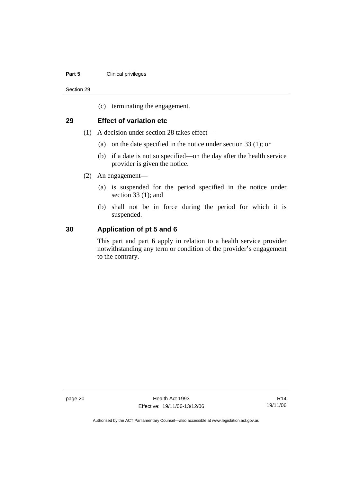#### **Part 5 Clinical privileges**

Section 29

(c) terminating the engagement.

#### **29 Effect of variation etc**

- (1) A decision under section 28 takes effect—
	- (a) on the date specified in the notice under section 33 (1); or
	- (b) if a date is not so specified—on the day after the health service provider is given the notice.
- (2) An engagement—
	- (a) is suspended for the period specified in the notice under section 33 (1); and
	- (b) shall not be in force during the period for which it is suspended.

#### **30 Application of pt 5 and 6**

This part and part 6 apply in relation to a health service provider notwithstanding any term or condition of the provider's engagement to the contrary.

page 20 **Health Act 1993** Effective: 19/11/06-13/12/06

R14 19/11/06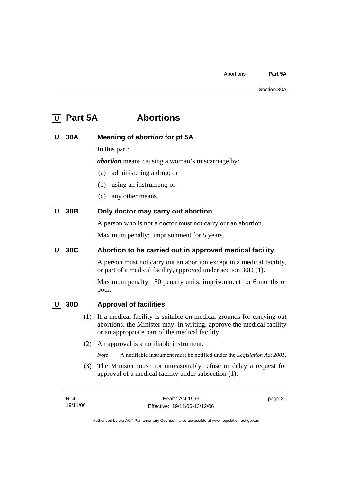| $\boxed{U}$ Part 5A | <b>Abortions</b> |
|---------------------|------------------|
|                     |                  |

|  | $U$ 30A | Meaning of abortion for pt 5A |  |
|--|---------|-------------------------------|--|
|--|---------|-------------------------------|--|

In this part:

*abortion* means causing a woman's miscarriage by:

- (a) administering a drug; or
- (b) using an instrument; or
- (c) any other means.

## **U** 30B Only doctor may carry out abortion

A person who is not a doctor must not carry out an abortion.

Maximum penalty: imprisonment for 5 years.

## **U** 30C Abortion to be carried out in approved medical facility

A person must not carry out an abortion except in a medical facility, or part of a medical facility, approved under section 30D (1).

Maximum penalty: 50 penalty units, imprisonment for 6 months or both.

#### **U 30D Approval of facilities**

- (1) If a medical facility is suitable on medical grounds for carrying out abortions, the Minister may, in writing, approve the medical facility or an appropriate part of the medical facility.
- (2) An approval is a notifiable instrument.

*Note* A notifiable instrument must be notified under the *Legislation Act 2001*.

 (3) The Minister must not unreasonably refuse or delay a request for approval of a medical facility under subsection (1).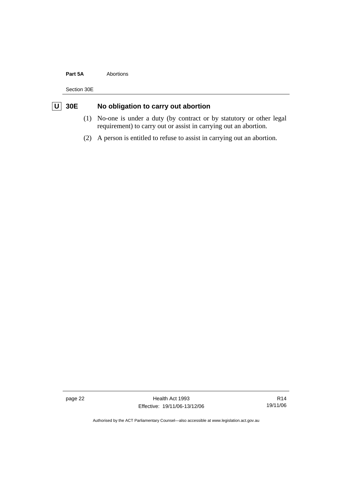#### **Part 5A** Abortions

Section 30E

# **U** 30E No obligation to carry out abortion

- (1) No-one is under a duty (by contract or by statutory or other legal requirement) to carry out or assist in carrying out an abortion.
- (2) A person is entitled to refuse to assist in carrying out an abortion.

page 22 Health Act 1993 Effective: 19/11/06-13/12/06

R14 19/11/06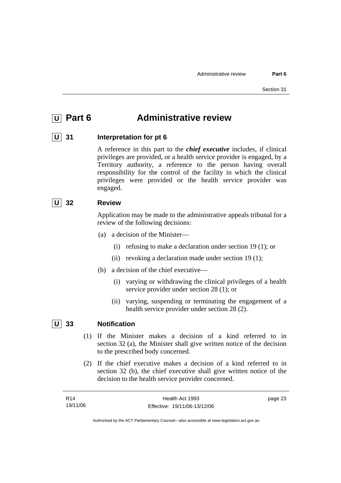# **<u>IU</u>** Part 6 **Administrative review**

#### **U 31 Interpretation for pt 6**

A reference in this part to the *chief executive* includes, if clinical privileges are provided, or a health service provider is engaged, by a Territory authority, a reference to the person having overall responsibility for the control of the facility in which the clinical privileges were provided or the health service provider was engaged.

#### **U 32 Review**

Application may be made to the administrative appeals tribunal for a review of the following decisions:

- (a) a decision of the Minister—
	- (i) refusing to make a declaration under section 19 (1); or
	- (ii) revoking a declaration made under section 19 (1);
- (b) a decision of the chief executive—
	- (i) varying or withdrawing the clinical privileges of a health service provider under section 28 (1); or
	- (ii) varying, suspending or terminating the engagement of a health service provider under section 28 (2).

# **U 33 Notification**

- (1) If the Minister makes a decision of a kind referred to in section 32 (a), the Minister shall give written notice of the decision to the prescribed body concerned.
- (2) If the chief executive makes a decision of a kind referred to in section 32 (b), the chief executive shall give written notice of the decision to the health service provider concerned.

| R <sub>14</sub> | Health Act 1993              | page 23 |
|-----------------|------------------------------|---------|
| 19/11/06        | Effective: 19/11/06-13/12/06 |         |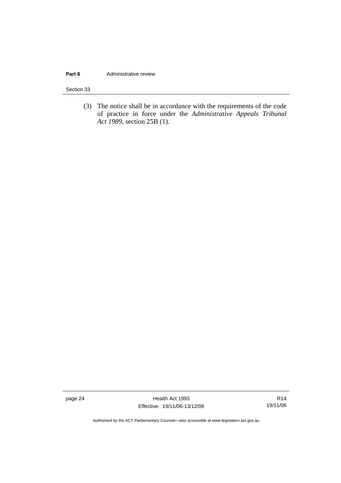#### **Part 6 Administrative review**

Section 33

 (3) The notice shall be in accordance with the requirements of the code of practice in force under the *Administrative Appeals Tribunal Act 1989*, section 25B (1).

page 24 **Health Act 1993** Effective: 19/11/06-13/12/06

R14 19/11/06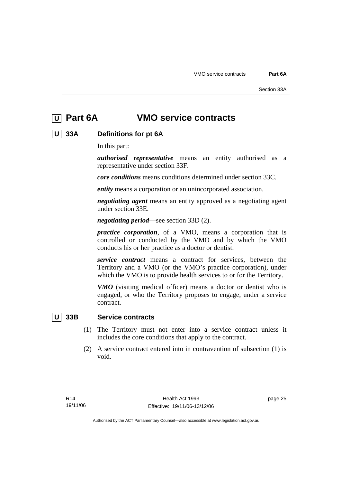# **U Part 6A VMO service contracts**

## **U 33A Definitions for pt 6A**

In this part:

*authorised representative* means an entity authorised as a representative under section 33F.

*core conditions* means conditions determined under section 33C.

*entity* means a corporation or an unincorporated association.

*negotiating agent* means an entity approved as a negotiating agent under section 33E.

*negotiating period*—see section 33D (2).

*practice corporation*, of a VMO, means a corporation that is controlled or conducted by the VMO and by which the VMO conducts his or her practice as a doctor or dentist.

*service contract* means a contract for services, between the Territory and a VMO (or the VMO's practice corporation), under which the VMO is to provide health services to or for the Territory.

*VMO* (visiting medical officer) means a doctor or dentist who is engaged, or who the Territory proposes to engage, under a service contract.

#### **U 33B Service contracts**

- (1) The Territory must not enter into a service contract unless it includes the core conditions that apply to the contract.
- (2) A service contract entered into in contravention of subsection (1) is void.

page 25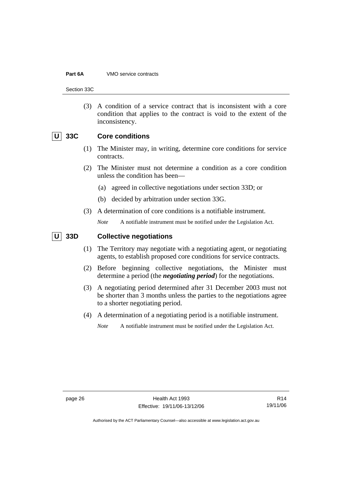#### **Part 6A** VMO service contracts

Section 33C

 (3) A condition of a service contract that is inconsistent with a core condition that applies to the contract is void to the extent of the inconsistency.

#### **U 33C Core conditions**

- (1) The Minister may, in writing, determine core conditions for service contracts.
- (2) The Minister must not determine a condition as a core condition unless the condition has been—
	- (a) agreed in collective negotiations under section 33D; or
	- (b) decided by arbitration under section 33G.
- (3) A determination of core conditions is a notifiable instrument.
	- *Note* A notifiable instrument must be notified under the Legislation Act.

#### **U** 33D Collective negotiations

- (1) The Territory may negotiate with a negotiating agent, or negotiating agents, to establish proposed core conditions for service contracts.
- (2) Before beginning collective negotiations, the Minister must determine a period (the *negotiating period*) for the negotiations.
- (3) A negotiating period determined after 31 December 2003 must not be shorter than 3 months unless the parties to the negotiations agree to a shorter negotiating period.
- (4) A determination of a negotiating period is a notifiable instrument.
	- *Note* A notifiable instrument must be notified under the Legislation Act.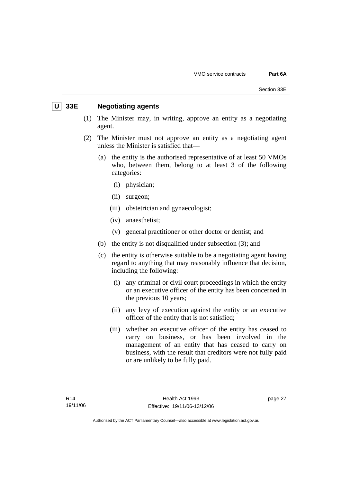#### **U 33E Negotiating agents**

- (1) The Minister may, in writing, approve an entity as a negotiating agent.
- (2) The Minister must not approve an entity as a negotiating agent unless the Minister is satisfied that—
	- (a) the entity is the authorised representative of at least 50 VMOs who, between them, belong to at least 3 of the following categories:
		- (i) physician;
		- (ii) surgeon;
		- (iii) obstetrician and gynaecologist;
		- (iv) anaesthetist;
		- (v) general practitioner or other doctor or dentist; and
	- (b) the entity is not disqualified under subsection (3); and
	- (c) the entity is otherwise suitable to be a negotiating agent having regard to anything that may reasonably influence that decision, including the following:
		- (i) any criminal or civil court proceedings in which the entity or an executive officer of the entity has been concerned in the previous 10 years;
		- (ii) any levy of execution against the entity or an executive officer of the entity that is not satisfied;
		- (iii) whether an executive officer of the entity has ceased to carry on business, or has been involved in the management of an entity that has ceased to carry on business, with the result that creditors were not fully paid or are unlikely to be fully paid.

page 27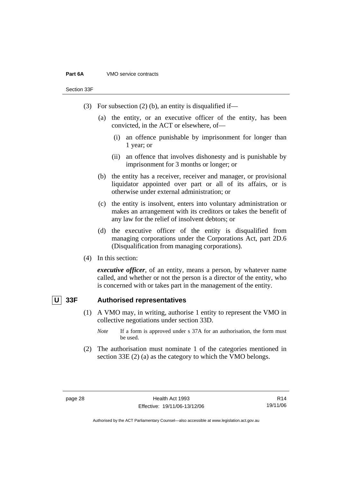#### **Part 6A** VMO service contracts

Section 33F

- (3) For subsection (2) (b), an entity is disqualified if—
	- (a) the entity, or an executive officer of the entity, has been convicted, in the ACT or elsewhere, of—
		- (i) an offence punishable by imprisonment for longer than 1 year; or
		- (ii) an offence that involves dishonesty and is punishable by imprisonment for 3 months or longer; or
	- (b) the entity has a receiver, receiver and manager, or provisional liquidator appointed over part or all of its affairs, or is otherwise under external administration; or
	- (c) the entity is insolvent, enters into voluntary administration or makes an arrangement with its creditors or takes the benefit of any law for the relief of insolvent debtors; or
	- (d) the executive officer of the entity is disqualified from managing corporations under the Corporations Act, part 2D.6 (Disqualification from managing corporations).
- (4) In this section:

*executive officer*, of an entity, means a person, by whatever name called, and whether or not the person is a director of the entity, who is concerned with or takes part in the management of the entity.

#### **U 33F Authorised representatives**

- (1) A VMO may, in writing, authorise 1 entity to represent the VMO in collective negotiations under section 33D.
	- *Note* If a form is approved under s 37A for an authorisation, the form must be used.
- (2) The authorisation must nominate 1 of the categories mentioned in section 33E (2) (a) as the category to which the VMO belongs.

R14 19/11/06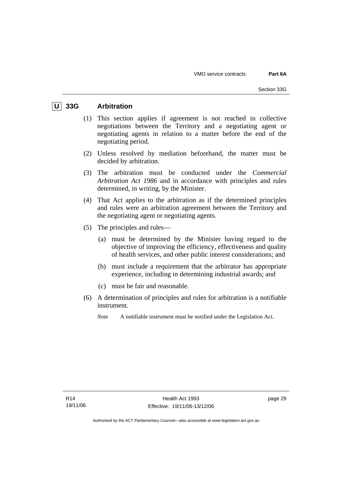## **U 33G Arbitration**

- (1) This section applies if agreement is not reached in collective negotiations between the Territory and a negotiating agent or negotiating agents in relation to a matter before the end of the negotiating period.
- (2) Unless resolved by mediation beforehand, the matter must be decided by arbitration.
- (3) The arbitration must be conducted under the *Commercial Arbitration Act 1986* and in accordance with principles and rules determined, in writing, by the Minister.
- (4) That Act applies to the arbitration as if the determined principles and rules were an arbitration agreement between the Territory and the negotiating agent or negotiating agents.
- (5) The principles and rules—
	- (a) must be determined by the Minister having regard to the objective of improving the efficiency, effectiveness and quality of health services, and other public interest considerations; and
	- (b) must include a requirement that the arbitrator has appropriate experience, including in determining industrial awards; and
	- (c) must be fair and reasonable.
- (6) A determination of principles and rules for arbitration is a notifiable instrument.

*Note* A notifiable instrument must be notified under the Legislation Act.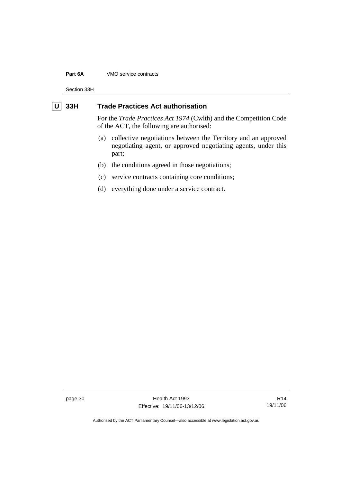#### **Part 6A** VMO service contracts

Section 33H

### **U** 33H Trade Practices Act authorisation

For the *Trade Practices Act 1974* (Cwlth) and the Competition Code of the ACT, the following are authorised:

- (a) collective negotiations between the Territory and an approved negotiating agent, or approved negotiating agents, under this part;
- (b) the conditions agreed in those negotiations;
- (c) service contracts containing core conditions;
- (d) everything done under a service contract.

page 30 Health Act 1993 Effective: 19/11/06-13/12/06

R14 19/11/06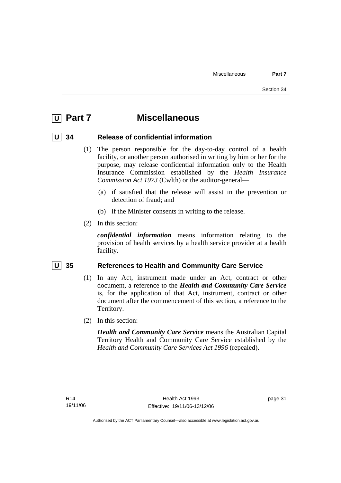# **U Part 7 Miscellaneous**

### **U 34 Release of confidential information**

- (1) The person responsible for the day-to-day control of a health facility, or another person authorised in writing by him or her for the purpose, may release confidential information only to the Health Insurance Commission established by the *Health Insurance Commission Act 1973* (Cwlth) or the auditor-general—
	- (a) if satisfied that the release will assist in the prevention or detection of fraud; and
	- (b) if the Minister consents in writing to the release.
- (2) In this section:

*confidential information* means information relating to the provision of health services by a health service provider at a health facility.

### **U** 35 References to Health and Community Care Service

- (1) In any Act, instrument made under an Act, contract or other document, a reference to the *Health and Community Care Service* is, for the application of that Act, instrument, contract or other document after the commencement of this section, a reference to the Territory.
- (2) In this section:

*Health and Community Care Service* means the Australian Capital Territory Health and Community Care Service established by the *Health and Community Care Services Act 1996* (repealed).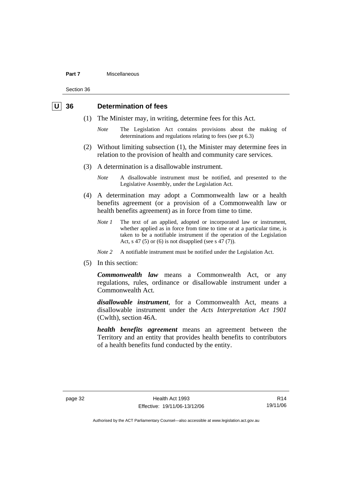#### **Part 7** Miscellaneous

Section 36

### **U 36 Determination of fees**

- (1) The Minister may, in writing, determine fees for this Act.
	- *Note* The Legislation Act contains provisions about the making of determinations and regulations relating to fees (see pt 6.3)
- (2) Without limiting subsection (1), the Minister may determine fees in relation to the provision of health and community care services.
- (3) A determination is a disallowable instrument.
	- *Note* A disallowable instrument must be notified, and presented to the Legislative Assembly, under the Legislation Act.
- (4) A determination may adopt a Commonwealth law or a health benefits agreement (or a provision of a Commonwealth law or health benefits agreement) as in force from time to time.
	- *Note 1* The text of an applied, adopted or incorporated law or instrument, whether applied as in force from time to time or at a particular time, is taken to be a notifiable instrument if the operation of the Legislation Act, s 47 (5) or (6) is not disapplied (see s 47 (7)).
	- *Note 2* A notifiable instrument must be notified under the Legislation Act.
- (5) In this section:

*Commonwealth law* means a Commonwealth Act, or any regulations, rules, ordinance or disallowable instrument under a Commonwealth Act.

*disallowable instrument*, for a Commonwealth Act, means a disallowable instrument under the *Acts Interpretation Act 1901* (Cwlth), section 46A.

*health benefits agreement* means an agreement between the Territory and an entity that provides health benefits to contributors of a health benefits fund conducted by the entity.

R14 19/11/06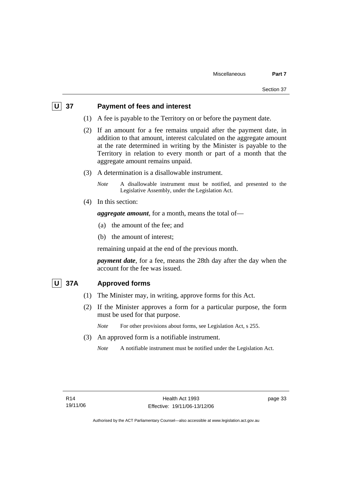### **U** 37 Payment of fees and interest

- (1) A fee is payable to the Territory on or before the payment date.
- (2) If an amount for a fee remains unpaid after the payment date, in addition to that amount, interest calculated on the aggregate amount at the rate determined in writing by the Minister is payable to the Territory in relation to every month or part of a month that the aggregate amount remains unpaid.
- (3) A determination is a disallowable instrument.

*Note* A disallowable instrument must be notified, and presented to the Legislative Assembly, under the Legislation Act.

(4) In this section:

*aggregate amount*, for a month, means the total of—

- (a) the amount of the fee; and
- (b) the amount of interest;

remaining unpaid at the end of the previous month.

*payment date*, for a fee, means the 28th day after the day when the account for the fee was issued.

### **U 37A Approved forms**

- (1) The Minister may, in writing, approve forms for this Act.
- (2) If the Minister approves a form for a particular purpose, the form must be used for that purpose.

*Note* For other provisions about forms, see Legislation Act, s 255.

- (3) An approved form is a notifiable instrument.
	- *Note* A notifiable instrument must be notified under the Legislation Act.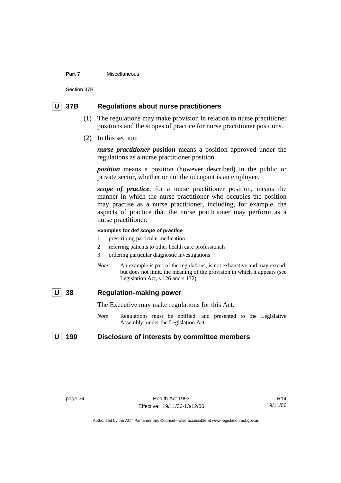#### **Part 7** Miscellaneous

Section 37B

### **U 37B Regulations about nurse practitioners**

- (1) The regulations may make provision in relation to nurse practitioner positions and the scopes of practice for nurse practitioner positions.
- (2) In this section:

*nurse practitioner position* means a position approved under the regulations as a nurse practitioner position.

*position* means a position (however described) in the public or private sector, whether or not the occupant is an employee.

*scope of practice*, for a nurse practitioner position, means the manner in which the nurse practitioner who occupies the position may practise as a nurse practitioner, including, for example, the aspects of practice that the nurse practitioner may perform as a nurse practitioner.

#### **Examples for def** *scope of practice*

- 1 prescribing particular medication
- 2 referring patients to other health care professionals
- 3 ordering particular diagnostic investigations
- *Note* An example is part of the regulations, is not exhaustive and may extend, but does not limit, the meaning of the provision in which it appears (see Legislation Act, s 126 and s 132).

### **U 38 Regulation-making power**

The Executive may make regulations for this Act.

*Note* Regulations must be notified, and presented to the Legislative Assembly, under the Legislation Act.

### U 190 Disclosure of interests by committee members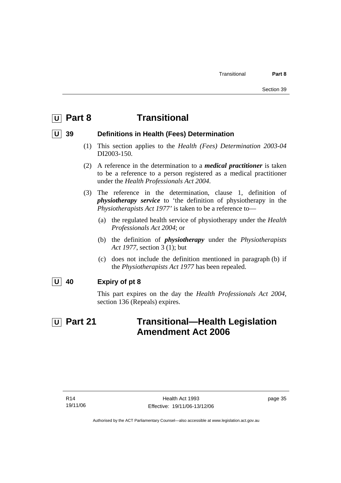# **U Part 8 Transitional**

### **U 39 Definitions in Health (Fees) Determination**

- (1) This section applies to the *Health (Fees) Determination 2003-04*  DI2003-150.
- (2) A reference in the determination to a *medical practitioner* is taken to be a reference to a person registered as a medical practitioner under the *Health Professionals Act 2004*.
- (3) The reference in the determination, clause 1, definition of *physiotherapy service* to 'the definition of physiotherapy in the *Physiotherapists Act 1977'* is taken to be a reference to—
	- (a) the regulated health service of physiotherapy under the *Health Professionals Act 2004*; or
	- (b) the definition of *physiotherapy* under the *Physiotherapists Act 1977*, section 3 (1); but
	- (c) does not include the definition mentioned in paragraph (b) if the *Physiotherapists Act 1977* has been repealed.
- **U 40 Expiry of pt 8**

This part expires on the day the *Health Professionals Act 2004*, section 136 (Repeals) expires.

# **U** Part 21 **Transitional—Health Legislation Amendment Act 2006**

page 35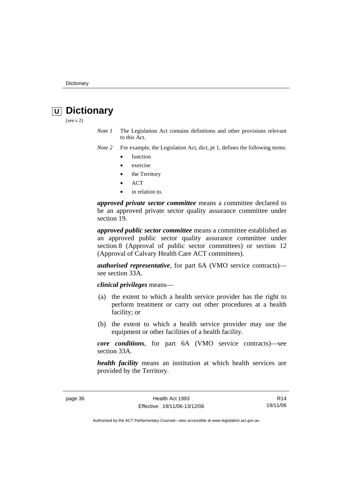# *<u>U</u>* Dictionary

(see s 2)

- *Note 1* The Legislation Act contains definitions and other provisions relevant to this Act.
- *Note 2* For example, the Legislation Act, dict, pt 1, defines the following terms:
	- function
	- exercise
	- the Territory
	- ACT
	- in relation to.

*approved private sector committee* means a committee declared to be an approved private sector quality assurance committee under section 19.

*approved public sector committee* means a committee established as an approved public sector quality assurance committee under section 8 (Approval of public sector committees) or section 12 (Approval of Calvary Health Care ACT committees).

*authorised representative*, for part 6A (VMO service contracts) see section 33A.

*clinical privileges* means—

- (a) the extent to which a health service provider has the right to perform treatment or carry out other procedures at a health facility; or
- (b) the extent to which a health service provider may use the equipment or other facilities of a health facility.

*core conditions*, for part 6A (VMO service contracts)—see section 33A.

*health facility* means an institution at which health services are provided by the Territory.

R14 19/11/06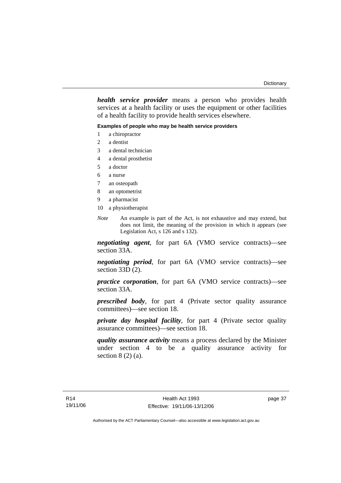*health service provider* means a person who provides health services at a health facility or uses the equipment or other facilities of a health facility to provide health services elsewhere.

#### **Examples of people who may be health service providers**

- 1 a chiropractor
- 2 a dentist
- 3 a dental technician
- 4 a dental prosthetist
- 5 a doctor
- 6 a nurse
- 7 an osteopath
- 8 an optometrist
- 9 a pharmacist
- 10 a physiotherapist
- *Note* An example is part of the Act, is not exhaustive and may extend, but does not limit, the meaning of the provision in which it appears (see Legislation Act, s 126 and s 132).

*negotiating agent*, for part 6A (VMO service contracts)—see section 33A.

*negotiating period*, for part 6A (VMO service contracts)—see section 33D (2).

*practice corporation*, for part 6A (VMO service contracts)—see section 33A.

*prescribed body*, for part 4 (Private sector quality assurance committees)—see section 18.

*private day hospital facility*, for part 4 (Private sector quality assurance committees)—see section 18.

*quality assurance activity* means a process declared by the Minister under section 4 to be a quality assurance activity for section  $8(2)(a)$ .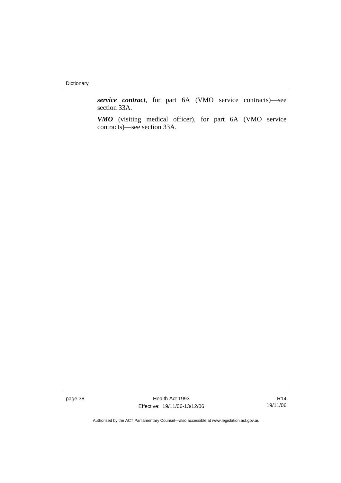Dictionary

*service contract*, for part 6A (VMO service contracts)—see section 33A.

*VMO* (visiting medical officer), for part 6A (VMO service contracts)—see section 33A.

page 38 Health Act 1993 Effective: 19/11/06-13/12/06

R14 19/11/06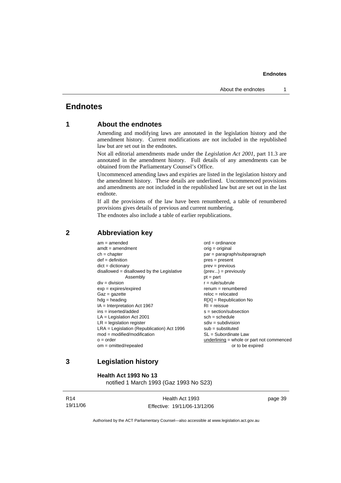### **Endnotes**

### **1 About the endnotes**

Amending and modifying laws are annotated in the legislation history and the amendment history. Current modifications are not included in the republished law but are set out in the endnotes.

Not all editorial amendments made under the *Legislation Act 2001*, part 11.3 are annotated in the amendment history. Full details of any amendments can be obtained from the Parliamentary Counsel's Office.

Uncommenced amending laws and expiries are listed in the legislation history and the amendment history. These details are underlined. Uncommenced provisions and amendments are not included in the republished law but are set out in the last endnote.

If all the provisions of the law have been renumbered, a table of renumbered provisions gives details of previous and current numbering.

The endnotes also include a table of earlier republications.

### **2 Abbreviation key**

### **3 Legislation history**

**Health Act 1993 No 13** 

notified 1 March 1993 (Gaz 1993 No S23)

| R14 |          |
|-----|----------|
|     | 19/11/06 |

Health Act 1993 Effective: 19/11/06-13/12/06 page 39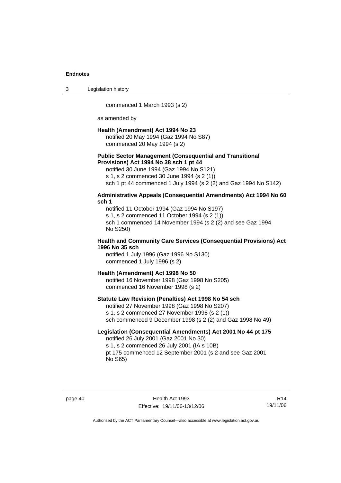3 Legislation history

commenced 1 March 1993 (s 2)

as amended by

#### **Health (Amendment) Act 1994 No 23**

notified 20 May 1994 (Gaz 1994 No S87) commenced 20 May 1994 (s 2)

#### **Public Sector Management (Consequential and Transitional Provisions) Act 1994 No 38 sch 1 pt 44**

notified 30 June 1994 (Gaz 1994 No S121)

s 1, s 2 commenced 30 June 1994 (s 2 (1))

sch 1 pt 44 commenced 1 July 1994 (s 2 (2) and Gaz 1994 No S142)

#### **Administrative Appeals (Consequential Amendments) Act 1994 No 60 sch 1**

notified 11 October 1994 (Gaz 1994 No S197) s 1, s 2 commenced 11 October 1994 (s 2 (1)) sch 1 commenced 14 November 1994 (s 2 (2) and see Gaz 1994 No S250)

#### **Health and Community Care Services (Consequential Provisions) Act 1996 No 35 sch**

notified 1 July 1996 (Gaz 1996 No S130) commenced 1 July 1996 (s 2)

### **Health (Amendment) Act 1998 No 50**

notified 16 November 1998 (Gaz 1998 No S205) commenced 16 November 1998 (s 2)

### **Statute Law Revision (Penalties) Act 1998 No 54 sch**

notified 27 November 1998 (Gaz 1998 No S207) s 1, s 2 commenced 27 November 1998 (s 2 (1)) sch commenced 9 December 1998 (s 2 (2) and Gaz 1998 No 49)

### **Legislation (Consequential Amendments) Act 2001 No 44 pt 175**

notified 26 July 2001 (Gaz 2001 No 30) s 1, s 2 commenced 26 July 2001 (IA s 10B) pt 175 commenced 12 September 2001 (s 2 and see Gaz 2001 No S65)

page 40 Health Act 1993 Effective: 19/11/06-13/12/06

R14 19/11/06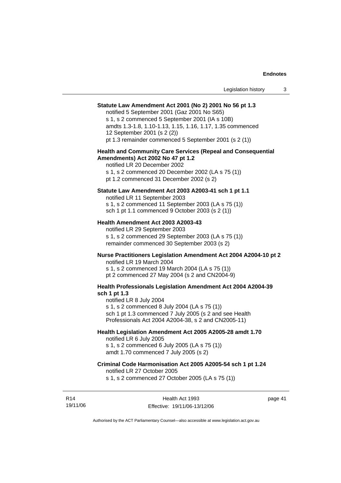### **Statute Law Amendment Act 2001 (No 2) 2001 No 56 pt 1.3**

notified 5 September 2001 (Gaz 2001 No S65)

s 1, s 2 commenced 5 September 2001 (IA s 10B) amdts 1.3-1.8, 1.10-1.13, 1.15, 1.16, 1.17, 1.35 commenced 12 September 2001 (s 2 (2)) pt 1.3 remainder commenced 5 September 2001 (s 2 (1))

#### **Health and Community Care Services (Repeal and Consequential Amendments) Act 2002 No 47 pt 1.2**

notified LR 20 December 2002 s 1, s 2 commenced 20 December 2002 (LA s 75 (1)) pt 1.2 commenced 31 December 2002 (s 2)

#### **Statute Law Amendment Act 2003 A2003-41 sch 1 pt 1.1**

notified LR 11 September 2003 s 1, s 2 commenced 11 September 2003 (LA s 75 (1)) sch 1 pt 1.1 commenced 9 October 2003 (s 2 (1))

#### **Health Amendment Act 2003 A2003-43**

notified LR 29 September 2003 s 1, s 2 commenced 29 September 2003 (LA s 75 (1)) remainder commenced 30 September 2003 (s 2)

### **Nurse Practitioners Legislation Amendment Act 2004 A2004-10 pt 2**

notified LR 19 March 2004 s 1, s 2 commenced 19 March 2004 (LA s 75 (1)) pt 2 commenced 27 May 2004 (s 2 and CN2004-9)

#### **Health Professionals Legislation Amendment Act 2004 A2004-39 sch 1 pt 1.3**

notified LR 8 July 2004 s 1, s 2 commenced 8 July 2004 (LA s 75 (1)) sch 1 pt 1.3 commenced 7 July 2005 (s 2 and see Health Professionals Act 2004 A2004-38, s 2 and CN2005-11)

### **Health Legislation Amendment Act 2005 A2005-28 amdt 1.70**

notified LR 6 July 2005 s 1, s 2 commenced 6 July 2005 (LA s 75 (1)) amdt 1.70 commenced 7 July 2005 (s 2)

#### **Criminal Code Harmonisation Act 2005 A2005-54 sch 1 pt 1.24**

notified LR 27 October 2005

s 1, s 2 commenced 27 October 2005 (LA s 75 (1))

R14 19/11/06 page 41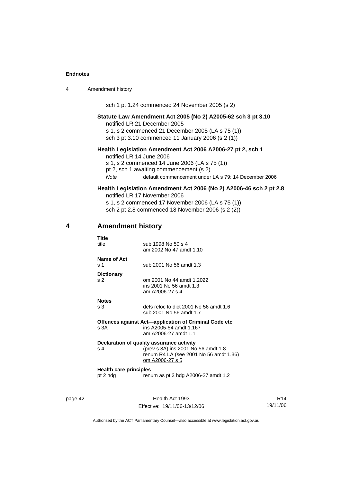| $\boldsymbol{\Lambda}$ | Amendment history |
|------------------------|-------------------|
|------------------------|-------------------|

sch 1 pt 1.24 commenced 24 November 2005 (s 2)

#### **Statute Law Amendment Act 2005 (No 2) A2005-62 sch 3 pt 3.10**  notified LR 21 December 2005

s 1, s 2 commenced 21 December 2005 (LA s 75 (1)) sch 3 pt 3.10 commenced 11 January 2006 (s 2 (1))

#### **Health Legislation Amendment Act 2006 A2006-27 pt 2, sch 1**

notified LR 14 June 2006 s 1, s 2 commenced 14 June 2006 (LA s 75 (1)) pt 2, sch 1 awaiting commencement (s 2) *Note* default commencement under LA s 79: 14 December 2006

### **Health Legislation Amendment Act 2006 (No 2) A2006-46 sch 2 pt 2.8**  notified LR 17 November 2006

s 1, s 2 commenced 17 November 2006 (LA s 75 (1)) sch 2 pt 2.8 commenced 18 November 2006 (s 2 (2))

### **4 Amendment history**

| Title<br>title                            | sub 1998 No 50 s 4<br>am 2002 No 47 amdt 1.10                                                                                                 |
|-------------------------------------------|-----------------------------------------------------------------------------------------------------------------------------------------------|
| Name of Act<br>s <sub>1</sub>             | sub 2001 No 56 amdt 1.3                                                                                                                       |
| <b>Dictionary</b><br>S <sub>2</sub>       | om 2001 No 44 amdt 1.2022<br>ins 2001 No 56 amdt 1.3<br>am A2006-27 s 4                                                                       |
| <b>Notes</b><br>s <sub>3</sub>            | defs reloc to dict 2001 No 56 amdt 1.6<br>sub 2001 No 56 amdt 1.7                                                                             |
| s.3A                                      | Offences against Act—application of Criminal Code etc<br>ins A2005-54 amdt 1.167<br>am A2006-27 amdt 1.1                                      |
| s <sub>4</sub>                            | Declaration of quality assurance activity<br>(prev s 3A) ins 2001 No 56 amdt 1.8<br>renum R4 LA (see 2001 No 56 amdt 1.36)<br>om A2006-27 s 5 |
| <b>Health care principles</b><br>pt 2 hdg | renum as pt 3 hdg A2006-27 amdt 1.2                                                                                                           |

page 42 Health Act 1993 Effective: 19/11/06-13/12/06

R14 19/11/06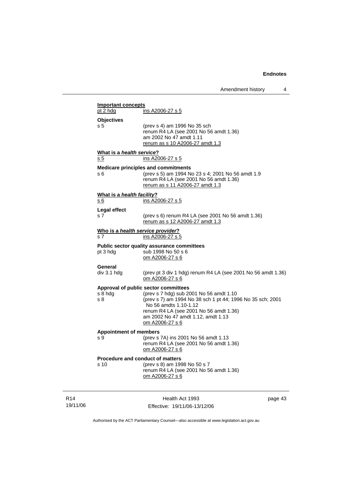| Amendment history |  |
|-------------------|--|
|-------------------|--|

|                               | ATTICHUITICHT HISTUI Y                                                          |         |
|-------------------------------|---------------------------------------------------------------------------------|---------|
| <b>Important concepts</b>     |                                                                                 |         |
| pt 2 hdg                      | ins A2006-27 s 5                                                                |         |
| <b>Objectives</b>             |                                                                                 |         |
| s 5                           | (prev s 4) am 1996 No 35 sch                                                    |         |
|                               | renum R4 LA (see 2001 No 56 amdt 1.36)<br>am 2002 No 47 amdt 1.11               |         |
|                               | renum as s 10 A2006-27 amdt 1.3                                                 |         |
| What is a health service?     |                                                                                 |         |
| s 5                           | ins A2006-27 s 5                                                                |         |
|                               | <b>Medicare principles and commitments</b>                                      |         |
| s 6                           | (prev s 5) am 1994 No 23 s 4; 2001 No 56 amdt 1.9                               |         |
|                               | renum R4 LA (see 2001 No 56 amdt 1.36)                                          |         |
|                               | renum as s 11 A2006-27 amdt 1.3                                                 |         |
| What is a health facility?    |                                                                                 |         |
| s 6                           | ins A2006-27 s 5                                                                |         |
| <b>Legal effect</b>           |                                                                                 |         |
| s 7                           | (prev s 6) renum R4 LA (see 2001 No 56 amdt 1.36)                               |         |
|                               | renum as s 12 A2006-27 amdt 1.3                                                 |         |
|                               | Who is a health service provider?                                               |         |
| s 7                           | ins A2006-27 s 5                                                                |         |
|                               | Public sector quality assurance committees                                      |         |
| pt 3 hdg                      | sub 1998 No 50 s 6                                                              |         |
|                               | om A2006-27 s 6                                                                 |         |
| General                       |                                                                                 |         |
| div 3.1 hdg                   | (prev pt 3 div 1 hdg) renum R4 LA (see 2001 No 56 amdt 1.36)<br>om A2006-27 s 6 |         |
|                               |                                                                                 |         |
| s 8 hdg                       | Approval of public sector committees<br>(prev s 7 hdg) sub 2001 No 56 amdt 1.10 |         |
| s 8                           | (prev s 7) am 1994 No 38 sch 1 pt 44; 1996 No 35 sch; 2001                      |         |
|                               | No 56 amdts 1.10-1.12                                                           |         |
|                               | renum R4 LA (see 2001 No 56 amdt 1.36)                                          |         |
|                               | am 2002 No 47 amdt 1.12, amdt 1.13<br>om A2006-27 s 6                           |         |
|                               |                                                                                 |         |
| <b>Appointment of members</b> |                                                                                 |         |
| s 9                           | (prev s 7A) ins 2001 No 56 amdt 1.13<br>renum R4 LA (see 2001 No 56 amdt 1.36)  |         |
|                               | om A2006-27 s 6                                                                 |         |
|                               | Procedure and conduct of matters                                                |         |
| s 10                          | (prev s 8) am 1998 No 50 s 7                                                    |         |
|                               | renum R4 LA (see 2001 No 56 amdt 1.36)                                          |         |
|                               | om A2006-27 s 6                                                                 |         |
|                               |                                                                                 |         |
|                               | Health Act 1993                                                                 |         |
|                               |                                                                                 | page 43 |

R14 19/11/06

Effective: 19/11/06-13/12/06

page 43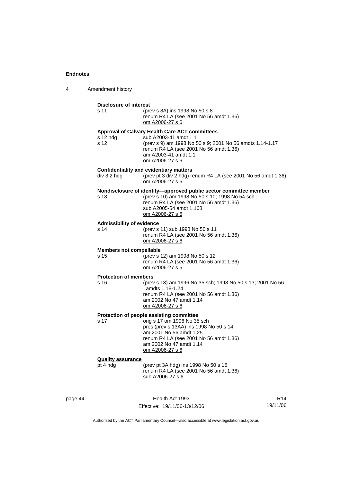4 Amendment history

|         | <b>Disclosure of interest</b><br>s 11    | (prev s 8A) ins 1998 No 50 s 8<br>renum R4 LA (see 2001 No 56 amdt 1.36)<br>om A2006-27 s 6                                                                                                                                                 |                 |
|---------|------------------------------------------|---------------------------------------------------------------------------------------------------------------------------------------------------------------------------------------------------------------------------------------------|-----------------|
|         | s $12$ hdg<br>s 12                       | <b>Approval of Calvary Health Care ACT committees</b><br>sub A2003-41 amdt 1.1<br>(prev s 9) am 1998 No 50 s 9; 2001 No 56 amdts 1.14-1.17<br>renum R4 LA (see 2001 No 56 amdt 1.36)<br>am A2003-41 amdt 1.1<br>om A2006-27 s 6             |                 |
|         | div 3.2 hdg                              | <b>Confidentiality and evidentiary matters</b><br>(prev pt 3 div 2 hdg) renum R4 LA (see 2001 No 56 amdt 1.36)<br>om A2006-27 s 6                                                                                                           |                 |
|         | s 13                                     | Nondisclosure of identity-approved public sector committee member<br>(prev s 10) am 1998 No 50 s 10; 1998 No 54 sch<br>renum R4 LA (see 2001 No 56 amdt 1.36)<br>sub A2005-54 amdt 1.168<br><u>om A2006-27 s 6</u>                          |                 |
|         | <b>Admissibility of evidence</b><br>s 14 | (prev s 11) sub 1998 No 50 s 11<br>renum R4 LA (see 2001 No 56 amdt 1.36)<br>om A2006-27 s 6                                                                                                                                                |                 |
|         | <b>Members not compellable</b><br>s 15   | (prev s 12) am 1998 No 50 s 12<br>renum R4 LA (see 2001 No 56 amdt 1.36)<br>om A2006-27 s 6                                                                                                                                                 |                 |
|         | <b>Protection of members</b><br>s 16     | (prev s 13) am 1996 No 35 sch; 1998 No 50 s 13; 2001 No 56<br>amdts 1.18-1.24<br>renum R4 LA (see 2001 No 56 amdt 1.36)<br>am 2002 No 47 amdt 1.14<br>om A2006-27 s 6                                                                       |                 |
|         | s 17                                     | Protection of people assisting committee<br>orig s 17 om 1996 No 35 sch<br>pres (prev s 13AA) ins 1998 No 50 s 14<br>am 2001 No 56 amdt 1.25<br>renum R4 LA (see 2001 No 56 amdt 1.36)<br>am 2002 No 47 amdt 1.14<br><u>om A2006-27 s 6</u> |                 |
|         | <b>Quality assurance</b><br>pt 4 hdg     | (prev pt 3A hdg) ins 1998 No 50 s 15<br>renum R4 LA (see 2001 No 56 amdt 1.36)<br>sub A2006-27 s 6                                                                                                                                          |                 |
| page 44 |                                          | Health Act 1993                                                                                                                                                                                                                             | R <sub>14</sub> |

Effective: 19/11/06-13/12/06

R14 19/11/06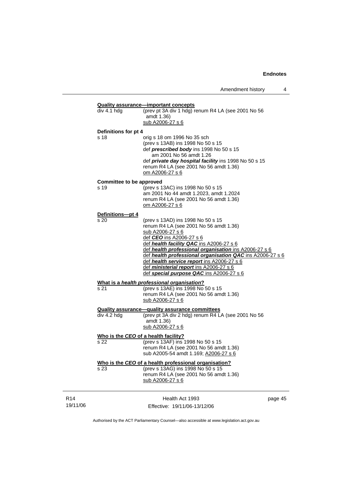### **Quality assurance—important concepts** div 4.1 hdg (prev pt 3A div 1 hdg) renum R4 LA (see 2001 No 56 .<br>amdt 1.36) sub A2006-27 s 6 **Definitions for pt 4** s 18 orig s 18 om 1996 No 35 sch (prev s 13AB) ins 1998 No 50 s 15 def *prescribed body* ins 1998 No 50 s 15 am 2001 No 56 amdt 1.26 def *private day hospital facility* ins 1998 No 50 s 15 renum R4 LA (see 2001 No 56 amdt 1.36) om A2006-27 s 6 **Committee to be approved** s 19 (prev s 13AC) ins 1998 No 50 s 15 am 2001 No 44 amdt 1.2023, amdt 1.2024 renum R4 LA (see 2001 No 56 amdt 1.36) om A2006-27 s 6 **Definitions—pt 4** s 20 (prev s 13AD) ins 1998 No 50 s 15 renum R4 LA (see 2001 No 56 amdt 1.36) sub A2006-27 s 6 def *CEO* ins A2006-27 s 6 def *health facility QAC* ins A2006-27 s 6 def *health professional organisation* ins A2006-27 s 6 def *health professional organisation QAC* ins A2006-27 s 6 def *health service report* ins A2006-27 s 6 def *ministerial report* ins A2006-27 s 6 def *special purpose QAC* ins A2006-27 s 6 **What is a** *health professional organisation***?** s 21 (prev s 13AE) ins 1998 No 50 s 15 renum R4 LA (see 2001 No 56 amdt 1.36) sub A2006-27 s 6 **Quality assurance—quality assurance committees** div 4.2 hdg (prev pt 3A div 2 hdg) renum R4 LA (see 2001 No 56 amdt 1.36) sub A2006-27 s 6 **Who is the** *CEO* **of a health facility?** s 22 (prev s 13AF) ins 1998 No 50 s 15 renum R4 LA (see 2001 No 56 amdt 1.36) sub A2005-54 amdt 1.169; A2006-27 s 6 **Who is the** *CEO* **of a health professional organisation?** s 23 (prev s 13AG) ins 1998 No 50 s 15 renum R4 LA (see 2001 No 56 amdt 1.36) sub A2006-27 s 6

R14 19/11/06

Health Act 1993 Effective: 19/11/06-13/12/06 page 45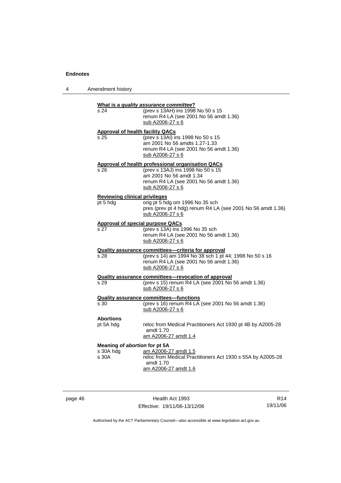| 4 | Amendment history |
|---|-------------------|
|---|-------------------|

| s 24                          | What is a quality assurance committee?<br>(prev s 13AH) ins 1998 No 50 s 15<br>renum R4 LA (see 2001 No 56 amdt 1.36)<br>sub A2006-27 s 6                                         |
|-------------------------------|-----------------------------------------------------------------------------------------------------------------------------------------------------------------------------------|
|                               | <b>Approval of health facility QACs</b>                                                                                                                                           |
| s 25                          | (prev s 13AI) ins 1998 No 50 s 15<br>am 2001 No 56 amdts 1.27-1.33<br>renum R4 LA (see 2001 No 56 amdt 1.36)<br>sub A2006-27 s 6                                                  |
| s 26                          | Approval of health professional organisation QACs<br>(prev s 13AJ) ins 1998 No 50 s 15<br>am 2001 No 56 amdt 1.34<br>renum R4 LA (see 2001 No 56 amdt 1.36)<br>sub A2006-27 s 6   |
| pt 5 hdg                      | <b>Reviewing clinical privileges</b><br>orig pt 5 hdg om 1996 No 35 sch<br>pres (prev pt 4 hdg) renum R4 LA (see 2001 No 56 amdt 1.36)<br>sub A2006-27 s 6                        |
|                               | <b>Approval of special purpose QACs</b>                                                                                                                                           |
| s 27                          | (prev s 13A) ins 1996 No 35 sch<br>renum R4 LA (see 2001 No 56 amdt 1.36)<br>sub A2006-27 s 6                                                                                     |
| s 28                          | <b>Quality assurance committees-criteria for approval</b><br>(prev s 14) am 1994 No 38 sch 1 pt 44; 1998 No 50 s 16<br>renum R4 LA (see 2001 No 56 amdt 1.36)<br>sub A2006-27 s 6 |
| s 29                          | <b>Quality assurance committees-revocation of approval</b><br>(prev s 15) renum R4 LA (see 2001 No 56 amdt 1.36)<br>sub A2006-27 s 6                                              |
| s 30                          | <b>Quality assurance committees-functions</b><br>(prev s 16) renum R4 LA (see 2001 No 56 amdt 1.36)<br>sub A2006-27 s 6                                                           |
| <b>Abortions</b><br>pt 5A hdg | reloc from Medical Practitioners Act 1930 pt 4B by A2005-28<br>amdt 1.70<br>am A2006-27 amdt 1.4                                                                                  |
| s 30A hdg<br>s 30A            | Meaning of abortion for pt 5A<br>am A2006-27 amdt 1.5<br>reloc from Medical Practitioners Act 1930 s 55A by A2005-28<br>amdt 1.70<br>am A2006-27 amdt 1.6                         |

page 46 **Health Act 1993** Effective: 19/11/06-13/12/06

R14 19/11/06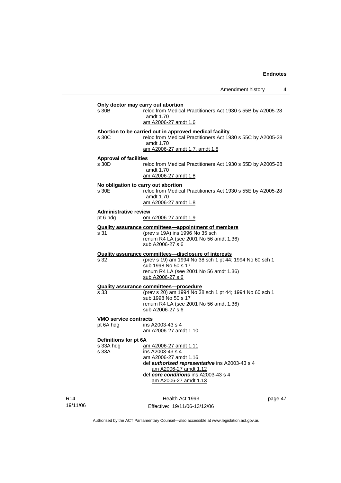|                             | s 30B                                        | Only doctor may carry out abortion<br>reloc from Medical Practitioners Act 1930 s 55B by A2005-28<br>amdt 1.70<br>am A2006-27 amdt 1.6                                                                         |         |
|-----------------------------|----------------------------------------------|----------------------------------------------------------------------------------------------------------------------------------------------------------------------------------------------------------------|---------|
|                             | s 30C                                        | Abortion to be carried out in approved medical facility<br>reloc from Medical Practitioners Act 1930 s 55C by A2005-28<br>amdt 1.70<br>am A2006-27 amdt 1.7, amdt 1.8                                          |         |
|                             | <b>Approval of facilities</b><br>s 30D       | reloc from Medical Practitioners Act 1930 s 55D by A2005-28<br>amdt 1.70<br>am A2006-27 amdt 1.8                                                                                                               |         |
|                             | No obligation to carry out abortion<br>s 30E | reloc from Medical Practitioners Act 1930 s 55E by A2005-28<br>amdt 1.70<br>am A2006-27 amdt 1.8                                                                                                               |         |
|                             | <b>Administrative review</b><br>pt 6 hdg     | om A2006-27 amdt 1.9                                                                                                                                                                                           |         |
|                             |                                              |                                                                                                                                                                                                                |         |
|                             | s 31                                         | <b>Quality assurance committees-appointment of members</b><br>(prev s 19A) ins 1996 No 35 sch<br>renum R4 LA (see 2001 No 56 amdt 1.36)<br>sub A2006-27 s 6                                                    |         |
|                             |                                              | <b>Quality assurance committees-disclosure of interests</b>                                                                                                                                                    |         |
|                             | s 32                                         | (prev s 19) am 1994 No 38 sch 1 pt 44; 1994 No 60 sch 1<br>sub 1998 No 50 s 17<br>renum R4 LA (see 2001 No 56 amdt 1.36)<br>sub A2006-27 s 6                                                                   |         |
|                             |                                              | <b>Quality assurance committees-procedure</b>                                                                                                                                                                  |         |
|                             | s 33                                         | (prev s 20) am 1994 No 38 sch 1 pt 44; 1994 No 60 sch 1<br>sub 1998 No 50 s 17<br>renum R4 LA (see 2001 No 56 amdt 1.36)<br>sub A2006-27 s 6                                                                   |         |
|                             | <b>VMO service contracts</b>                 |                                                                                                                                                                                                                |         |
|                             | pt 6A hdg                                    | ins A2003-43 s 4<br>am A2006-27 amdt 1.10                                                                                                                                                                      |         |
|                             | Definitions for pt 6A<br>s 33A hdg<br>S 33A  | am A2006-27 amdt 1.11<br>ins A2003-43 s 4<br>am A2006-27 amdt 1.16<br>def authorised representative ins A2003-43 s 4<br>am A2006-27 amdt 1.12<br>def core conditions ins A2003-43 s 4<br>am A2006-27 amdt 1.13 |         |
| R <sub>14</sub><br>19/11/06 |                                              | Health Act 1993<br>Effective: 19/11/06-13/12/06                                                                                                                                                                | page 47 |

Authorised by the ACT Parliamentary Counsel—also accessible at www.legislation.act.gov.au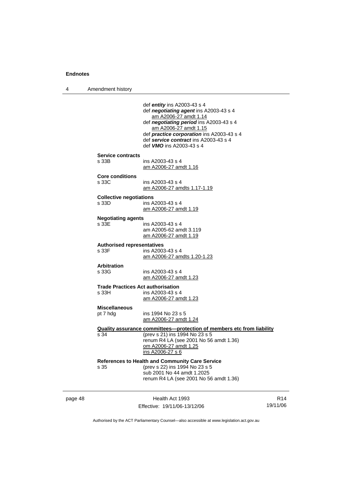4 Amendment history

| page 48 |                                                   | Health Act 1993                                                                                                                                                                                                                                                                                      | R <sub>14</sub> |
|---------|---------------------------------------------------|------------------------------------------------------------------------------------------------------------------------------------------------------------------------------------------------------------------------------------------------------------------------------------------------------|-----------------|
|         | s 35                                              | References to Health and Community Care Service<br>(prev s 22) ins 1994 No 23 s 5<br>sub 2001 No 44 amdt 1.2025<br>renum R4 LA (see 2001 No 56 amdt 1.36)                                                                                                                                            |                 |
|         | s 34                                              | Quality assurance committees—protection of members etc from liability<br>(prev s 21) ins 1994 No 23 s 5<br>renum R4 LA (see 2001 No 56 amdt 1.36)<br>om A2006-27 amdt 1.25<br>ins A2006-27 s 6                                                                                                       |                 |
|         | <b>Miscellaneous</b><br>pt 7 hdg                  | ins 1994 No 23 s 5<br>am A2006-27 amdt 1.24                                                                                                                                                                                                                                                          |                 |
|         | <b>Trade Practices Act authorisation</b><br>s 33H | ins A2003-43 s 4<br>am A2006-27 amdt 1.23                                                                                                                                                                                                                                                            |                 |
|         | <b>Arbitration</b><br>s 33G                       | ins A2003-43 s 4<br>am A2006-27 amdt 1.23                                                                                                                                                                                                                                                            |                 |
|         | <b>Authorised representatives</b><br>s 33F        | ins A2003-43 s 4<br>am A2006-27 amdts 1.20-1.23                                                                                                                                                                                                                                                      |                 |
|         | <b>Negotiating agents</b><br>s 33E                | ins A2003-43 s 4<br>am A2005-62 amdt 3.119<br>am A2006-27 amdt 1.19                                                                                                                                                                                                                                  |                 |
|         | <b>Collective negotiations</b><br>s 33D           | ins A2003-43 s 4<br>am A2006-27 amdt 1.19                                                                                                                                                                                                                                                            |                 |
|         | <b>Core conditions</b><br>s 33C                   | ins A2003-43 s 4<br>am A2006-27 amdts 1.17-1.19                                                                                                                                                                                                                                                      |                 |
|         | <b>Service contracts</b><br>s 33B                 | ins A2003-43 s 4<br><u>am A2006-27 amdt 1.16</u>                                                                                                                                                                                                                                                     |                 |
|         |                                                   | def entity ins A2003-43 s $4$<br>def negotiating agent ins A2003-43 s 4<br>am A2006-27 amdt 1.14<br>def negotiating period ins A2003-43 s 4<br>am A2006-27 amdt 1.15<br>def <i>practice corporation</i> ins A2003-43 s 4<br>def service contract ins A2003-43 s 4<br>def <b>VMO</b> ins A2003-43 s 4 |                 |
|         |                                                   |                                                                                                                                                                                                                                                                                                      |                 |

Authorised by the ACT Parliamentary Counsel—also accessible at www.legislation.act.gov.au

Effective: 19/11/06-13/12/06

19/11/06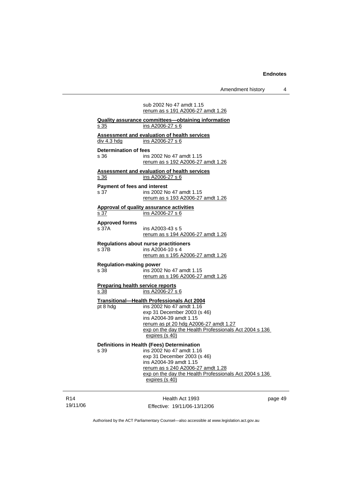|                                         | renum as s 191 A2006-27 amdt 1.26                                                               |     |
|-----------------------------------------|-------------------------------------------------------------------------------------------------|-----|
| s 35                                    | <b>Quality assurance committees-obtaining information</b><br>ins A2006-27 s 6                   |     |
|                                         |                                                                                                 |     |
| div 4.3 hdg                             | <b>Assessment and evaluation of health services</b><br>ins A2006-27 s 6                         |     |
|                                         |                                                                                                 |     |
| <b>Determination of fees</b>            | ins 2002 No 47 amdt 1.15                                                                        |     |
| s 36                                    | renum as s 192 A2006-27 amdt 1.26                                                               |     |
|                                         |                                                                                                 |     |
| <u>s 36</u>                             | <b>Assessment and evaluation of health services</b><br>ins A2006-27 s 6                         |     |
|                                         |                                                                                                 |     |
| <b>Payment of fees and interest</b>     |                                                                                                 |     |
| s 37                                    | ins 2002 No 47 amdt 1.15<br>renum as s 193 A2006-27 amdt 1.26                                   |     |
|                                         |                                                                                                 |     |
|                                         | <b>Approval of quality assurance activities</b>                                                 |     |
| s 37                                    | ins A2006-27 s 6                                                                                |     |
| <b>Approved forms</b>                   |                                                                                                 |     |
| s 37A                                   | ins A2003-43 s 5                                                                                |     |
|                                         | renum as s 194 A2006-27 amdt 1.26                                                               |     |
|                                         | <b>Regulations about nurse practitioners</b>                                                    |     |
| s 37B                                   | ins A2004-10 s 4                                                                                |     |
|                                         | renum as s 195 A2006-27 amdt 1.26                                                               |     |
| <b>Regulation-making power</b>          |                                                                                                 |     |
| s 38                                    | ins 2002 No 47 amdt 1.15                                                                        |     |
|                                         | renum as s 196 A2006-27 amdt 1.26                                                               |     |
| <b>Preparing health service reports</b> |                                                                                                 |     |
| s 38                                    | ins A2006-27 s 6                                                                                |     |
|                                         | <b>Transitional-Health Professionals Act 2004</b>                                               |     |
| pt 8 hdg                                | ins 2002 No 47 amdt 1.16                                                                        |     |
|                                         | exp 31 December 2003 (s 46)                                                                     |     |
|                                         | ins A2004-39 amdt 1.15                                                                          |     |
|                                         | renum as pt 20 hdg A2006-27 amdt 1.27<br>exp on the day the Health Professionals Act 2004 s 136 |     |
|                                         | expires (s 40)                                                                                  |     |
|                                         |                                                                                                 |     |
|                                         | Definitions in Health (Fees) Determination                                                      |     |
| s 39                                    | ins 2002 No 47 amdt 1.16                                                                        |     |
|                                         | exp 31 December 2003 (s 46)<br>ins A2004-39 amdt 1.15                                           |     |
|                                         | renum as s 240 A2006-27 amdt 1.28                                                               |     |
|                                         | exp on the day the Health Professionals Act 2004 s 136                                          |     |
|                                         | expires (s 40)                                                                                  |     |
|                                         |                                                                                                 |     |
|                                         |                                                                                                 |     |
|                                         | Health Act 1993                                                                                 | pag |

R14 19/11/06

Effective: 19/11/06-13/12/06

page 49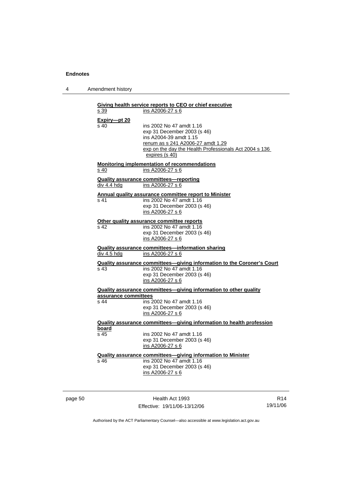4 Amendment history

| s 39                 | Giving health service reports to CEO or chief executive<br>ins A2006-27 s 6   |
|----------------------|-------------------------------------------------------------------------------|
|                      |                                                                               |
| Expiry-pt 20<br>s 40 | ins 2002 No 47 amdt 1.16                                                      |
|                      | exp 31 December 2003 (s 46)                                                   |
|                      | ins A2004-39 amdt 1.15                                                        |
|                      |                                                                               |
|                      | renum as s 241 A2006-27 amdt 1.29                                             |
|                      | exp on the day the Health Professionals Act 2004 s 136<br>expires (s 40)      |
|                      |                                                                               |
| s 40                 | <b>Monitoring implementation of recommendations</b><br>ins A2006-27 s 6       |
|                      |                                                                               |
|                      | <b>Quality assurance committees-reporting</b>                                 |
| div 4.4 hdg          | ins A2006-27 s 6                                                              |
|                      | Annual quality assurance committee report to Minister                         |
| s 41                 | ins 2002 No 47 amdt 1.16                                                      |
|                      | exp 31 December 2003 (s 46)                                                   |
|                      | ins A2006-27 s 6                                                              |
|                      | Other quality assurance committee reports                                     |
| s 42                 | ins 2002 No 47 amdt 1.16                                                      |
|                      | exp 31 December 2003 (s 46)                                                   |
|                      | ins A2006-27 s 6                                                              |
|                      | <b>Quality assurance committees-information sharing</b>                       |
| div 4.5 hdg          | ins A2006-27 s 6                                                              |
|                      | <b>Quality assurance committees-giving information to the Coroner's Court</b> |
| s 43                 | ins 2002 No 47 amdt 1.16                                                      |
|                      | exp 31 December 2003 (s 46)                                                   |
|                      | ins A2006-27 s 6                                                              |
|                      | Quality assurance committees-giving information to other quality              |
| assurance committees |                                                                               |
| s 44                 | ins 2002 No 47 amdt 1.16                                                      |
|                      | exp 31 December 2003 (s 46)                                                   |
|                      | ins A2006-27 s 6                                                              |
|                      | Quality assurance committees-giving information to health profession          |
| board                |                                                                               |
| s 45                 | ins 2002 No 47 amdt 1.16                                                      |
|                      | exp 31 December 2003 (s 46)                                                   |
|                      | ins A2006-27 s 6                                                              |
|                      | <b>Quality assurance committees-giving information to Minister</b>            |
| s 46                 | ins 2002 No 47 amdt 1.16                                                      |
|                      | exp 31 December 2003 (s 46)                                                   |
|                      | ins A2006-27 s 6                                                              |
|                      |                                                                               |
|                      |                                                                               |

page 50 Health Act 1993 Effective: 19/11/06-13/12/06

R14 19/11/06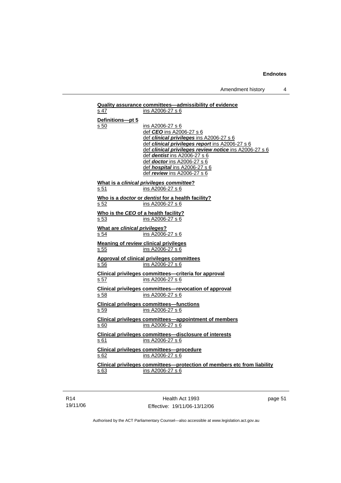| s 47                          | ins A2006-27 s 6                                                                 |
|-------------------------------|----------------------------------------------------------------------------------|
|                               |                                                                                  |
| Definitions-pt 5              |                                                                                  |
| s 50                          | ins A2006-27 s 6<br>def CEO ins A2006-27 s 6                                     |
|                               | def clinical privileges ins A2006-27 s 6                                         |
|                               | def clinical privileges report ins A2006-27 s 6                                  |
|                               | def clinical privileges review notice ins A2006-27 s 6                           |
|                               | def dentist ins A2006-27 s 6                                                     |
|                               | def <i>doctor</i> ins A2006-27 s 6                                               |
|                               | def hospital ins A2006-27 s 6                                                    |
|                               | def review ins A2006-27 s 6                                                      |
|                               | What is a clinical privileges committee?                                         |
| s 51                          | ins A2006-27 s 6                                                                 |
|                               | Who is a doctor or dentist for a health facility?                                |
| s 52                          | ins A2006-27 s 6                                                                 |
|                               | Who is the CEO of a health facility?                                             |
| s 53                          | ins A2006-27 s 6                                                                 |
| What are clinical privileges? |                                                                                  |
| s 54                          | ins A2006-27 s 6                                                                 |
|                               | Meaning of review clinical privileges                                            |
| $\overline{s\,55}$            | ins A2006-27 s 6                                                                 |
|                               | <b>Approval of clinical privileges committees</b>                                |
| s 56                          | ins A2006-27 s 6                                                                 |
|                               | Clinical privileges committees-criteria for approval                             |
| s <sub>57</sub>               | ins A2006-27 s 6                                                                 |
|                               |                                                                                  |
|                               | <b>Clinical privileges committees-revocation of approval</b><br>ins A2006-27 s 6 |
| s 58                          |                                                                                  |
|                               | Clinical privileges committees—functions                                         |
| s 59                          | ins A2006-27 s 6                                                                 |
|                               | <b>Clinical privileges committees-appointment of members</b>                     |
| s 60                          | ins A2006-27 s 6                                                                 |
|                               | <b>Clinical privileges committees-disclosure of interests</b>                    |
| s 61                          | ins A2006-27 s 6                                                                 |
|                               | <b>Clinical privileges committees-procedure</b>                                  |
| s 62                          | ins A2006-27 s 6                                                                 |
|                               |                                                                                  |
|                               |                                                                                  |
|                               | Clinical privileges committees-protection of members etc from liability          |
| s 63                          | ins A2006-27 s 6                                                                 |

R14 19/11/06

Health Act 1993 Effective: 19/11/06-13/12/06 page 51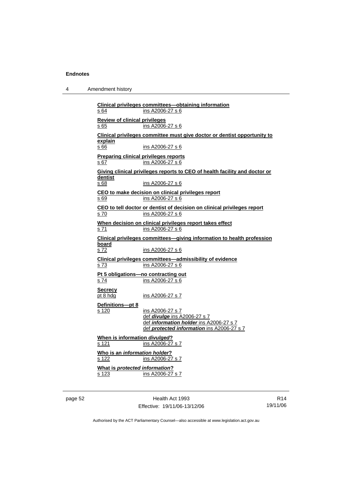| 4 | Amendment history |
|---|-------------------|
|---|-------------------|

| s 64                                                 | Clinical privileges committees—obtaining information<br>ins A2006-27 s 6                                                                         |
|------------------------------------------------------|--------------------------------------------------------------------------------------------------------------------------------------------------|
| <b>Review of clinical privileges</b><br>s 65         | ins A2006-27 s 6                                                                                                                                 |
| explain<br>s 66                                      | Clinical privileges committee must give doctor or dentist opportunity to<br>ins A2006-27 s 6                                                     |
| <b>Preparing clinical privileges reports</b><br>s 67 | ins A2006-27 s 6                                                                                                                                 |
| dentist<br>s 68                                      | Giving clinical privileges reports to CEO of health facility and doctor or<br>ins A2006-27 s 6                                                   |
| s 69                                                 | CEO to make decision on clinical privileges report<br>ins A2006-27 s 6                                                                           |
| s 70                                                 | CEO to tell doctor or dentist of decision on clinical privileges report<br>ins A2006-27 s 6                                                      |
| s 71                                                 | When decision on clinical privileges report takes effect<br>ins A2006-27 s 6                                                                     |
| board<br><u>s 72</u>                                 | Clinical privileges committees-giving information to health profession<br>ins A2006-27 s 6                                                       |
| s 73                                                 | Clinical privileges committees-admissibility of evidence<br>ins A2006-27 s 6                                                                     |
| s 74                                                 | Pt 5 obligations-no contracting out<br>ins A2006-27 s 6                                                                                          |
| <b>Secrecy</b><br>pt 8 hdg                           | ins A2006-27 s 7                                                                                                                                 |
| Definitions-pt 8<br>s 120                            | ins A2006-27 s 7<br>def <i>divulge</i> ins A2006-27 s 7<br>def information holder ins A2006-27 s 7<br>def protected information ins A2006-27 s 7 |
| When is information divulged?<br>s 121               | ins A2006-27 s 7                                                                                                                                 |
| Who is an information holder?<br>s 122               | ins A2006-27 s 7                                                                                                                                 |
| What is protected information?<br>s 123              | ins A2006-27 s 7                                                                                                                                 |
|                                                      |                                                                                                                                                  |

page 52 Health Act 1993 Effective: 19/11/06-13/12/06

R14 19/11/06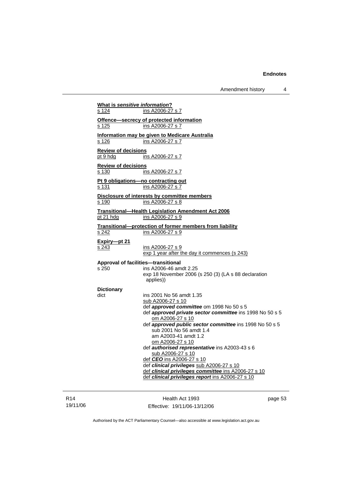Amendment history 4

| What is sensitive information?<br>s 124 | ins A2006-27 s 7                                                                   |
|-----------------------------------------|------------------------------------------------------------------------------------|
|                                         |                                                                                    |
| s 125                                   | Offence-secrecy of protected information<br>ins A2006-27 s 7                       |
|                                         |                                                                                    |
| s 126                                   | Information may be given to Medicare Australia<br>ins A2006-27 s 7                 |
|                                         |                                                                                    |
| <b>Review of decisions</b><br>pt 9 hdg  | ins A2006-27 s 7                                                                   |
| <b>Review of decisions</b>              |                                                                                    |
| s 130                                   | ins A2006-27 s 7                                                                   |
| s 131                                   | Pt 9 obligations-no contracting out<br>ins A2006-27 s 7                            |
|                                         | Disclosure of interests by committee members                                       |
| s 190                                   | ins A2006-27 s 8                                                                   |
|                                         | <b>Transitional-Health Legislation Amendment Act 2006</b>                          |
| pt 21 hdg                               | ins A2006-27 s 9                                                                   |
|                                         | Transitional-protection of former members from liability                           |
| s <sub>242</sub>                        | ins A2006-27 s 9                                                                   |
| Expiry-pt 21                            |                                                                                    |
| s 243                                   | ins A2006-27 s 9                                                                   |
|                                         | exp 1 year after the day it commences (s 243)                                      |
| s 250                                   | Approval of facilities-transitional<br>ins A2006-46 amdt 2.25                      |
|                                         | exp 18 November 2006 (s 250 (3) (LA s 88 declaration                               |
|                                         | applies))                                                                          |
| <b>Dictionary</b>                       |                                                                                    |
| dict                                    | ins 2001 No 56 amdt 1.35                                                           |
|                                         | sub A2006-27 s 10<br>def approved committee om 1998 No 50 s 5                      |
|                                         | def approved private sector committee ins 1998 No 50 s 5                           |
|                                         | om A2006-27 s 10                                                                   |
|                                         | def approved public sector committee ins 1998 No 50 s 5<br>sub 2001 No 56 amdt 1.4 |
|                                         | am A2003-41 amdt 1.2                                                               |
|                                         | om A2006-27 s 10                                                                   |
|                                         | def authorised representative ins A2003-43 s 6                                     |
|                                         | sub A2006-27 s 10<br>def CEO ins A2006-27 s 10                                     |
|                                         | def clinical privileges sub A2006-27 s 10                                          |
|                                         | def clinical privileges committee ins A2006-27 s 10                                |
|                                         | def clinical privileges report ins A2006-27 s 10                                   |
|                                         |                                                                                    |

R14 19/11/06

Health Act 1993 Effective: 19/11/06-13/12/06 page 53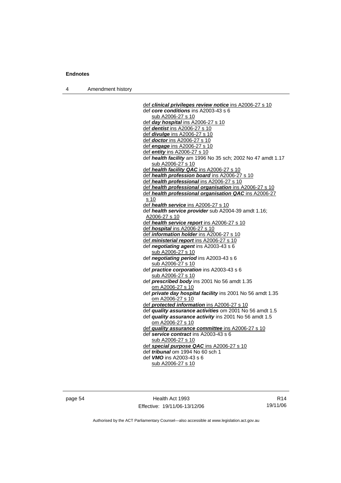4 Amendment history

 def *clinical privileges review notice* ins A2006-27 s 10 def *core conditions* ins A2003-43 s 6 sub A2006-27 s 10 def *day hospital* ins A2006-27 s 10 def *dentist* ins A2006-27 s 10 def *divulge* ins A2006-27 s 10 def *doctor* ins A2006-27 s 10 def *engage* ins A2006-27 s 10 def *entity* ins A2006-27 s 10 def *health facility* am 1996 No 35 sch; 2002 No 47 amdt 1.17 sub A2006-27 s 10 def *health facility QAC* ins A2006-27 s 10 def *health profession board* ins A2006-27 s 10 def *health professional* ins A2006-27 s 10 def *health professional organisation* ins A2006-27 s 10 def *health professional organisation QAC* ins A2006-27 s 10 def *health service* ins A2006-27 s 10 def *health service provider* sub A2004-39 amdt 1.16; A2006-27 s 10 def *health service report* ins A2006-27 s 10 def *hospital* ins A2006-27 s 10 def *information holder* ins A2006-27 s 10 def *ministerial report* ins A2006-27 s 10 def *negotiating agent* ins A2003-43 s 6 sub A2006-27 s 10 def *negotiating period* ins A2003-43 s 6 sub A2006-27 s 10 def *practice corporation* ins A2003-43 s 6 sub A2006-27 s 10 def *prescribed body* ins 2001 No 56 amdt 1.35 om A2006-27 s 10 def *private day hospital facility* ins 2001 No 56 amdt 1.35 om A2006-27 s 10 def *protected information* ins A2006-27 s 10 def *quality assurance activities* om 2001 No 56 amdt 1.5 def *quality assurance activity* ins 2001 No 56 amdt 1.5 om A2006-27 s 10 def *quality assurance committee* ins A2006-27 s 10 def *service contract* ins A2003-43 s 6 sub A2006-27 s 10 def *special purpose QAC* ins A2006-27 s 10 def *tribunal* om 1994 No 60 sch 1 def *VMO* ins A2003-43 s 6 sub A2006-27 s 10

page 54 Health Act 1993 Effective: 19/11/06-13/12/06

R14 19/11/06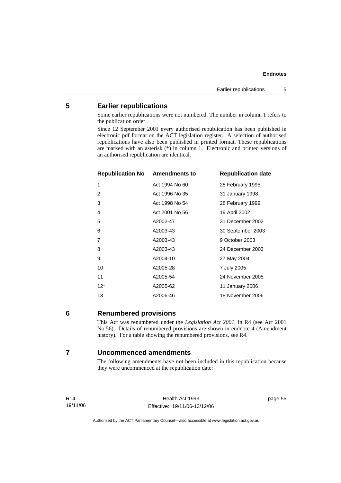### **5 Earlier republications**

Some earlier republications were not numbered. The number in column 1 refers to the publication order.

Since 12 September 2001 every authorised republication has been published in electronic pdf format on the ACT legislation register. A selection of authorised republications have also been published in printed format. These republications are marked with an asterisk  $(*)$  in column 1. Electronic and printed versions of an authorised republication are identical.

| <b>Republication No Amendments to</b> |                | <b>Republication date</b> |
|---------------------------------------|----------------|---------------------------|
| 1                                     | Act 1994 No 60 | 28 February 1995          |
| 2                                     | Act 1996 No 35 | 31 January 1998           |
| 3                                     | Act 1998 No 54 | 28 February 1999          |
| 4                                     | Act 2001 No 56 | 19 April 2002             |
| 5                                     | A2002-47       | 31 December 2002          |
| 6                                     | A2003-43       | 30 September 2003         |
| 7                                     | A2003-43       | 9 October 2003            |
| 8                                     | A2003-43       | 24 December 2003          |
| 9                                     | A2004-10       | 27 May 2004               |
| 10                                    | A2005-28       | 7 July 2005               |
| 11                                    | A2005-54       | 24 November 2005          |
| $12*$                                 | A2005-62       | 11 January 2006           |
| 13                                    | A2006-46       | 18 November 2006          |
|                                       |                |                           |

**6 Renumbered provisions** 

This Act was renumbered under the *Legislation Act 2001*, in R4 (see Act 2001 No 56). Details of renumbered provisions are shown in endnote 4 (Amendment history). For a table showing the renumbered provisions, see R4.

### **7 Uncommenced amendments**

The following amendments have not been included in this republication because they were uncommenced at the republication date:

R14 19/11/06 page 55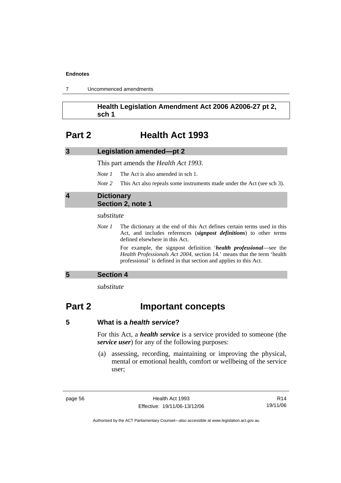| Uncommenced amendments |  |
|------------------------|--|
|------------------------|--|

### **Health Legislation Amendment Act 2006 A2006-27 pt 2, sch 1**

### **Part 2 Health Act 1993**

| Legislation amended-pt 2<br>3 |
|-------------------------------|
|-------------------------------|

This part amends the *Health Act 1993*.

*Note 1* The Act is also amended in sch 1.

*Note* 2 This Act also repeals some instruments made under the Act (see sch 3).

### **4 Dictionary Section 2, note 1**

#### *substitute*

*Note 1* The dictionary at the end of this Act defines certain terms used in this Act, and includes references (*signpost definitions*) to other terms defined elsewhere in this Act.

> For example, the signpost definition '*health professional*—see the *Health Professionals Act 2004*, section 14.' means that the term 'health professional' is defined in that section and applies to this Act.

### **5 Section 4**

*substitute* 

## **Part 2 Important concepts**

For this Act, a *health service* is a service provided to someone (the *service user*) for any of the following purposes:

 (a) assessing, recording, maintaining or improving the physical, mental or emotional health, comfort or wellbeing of the service user;

page 56 Health Act 1993 Effective: 19/11/06-13/12/06

R14 19/11/06

**<sup>5</sup> What is a** *health service***?**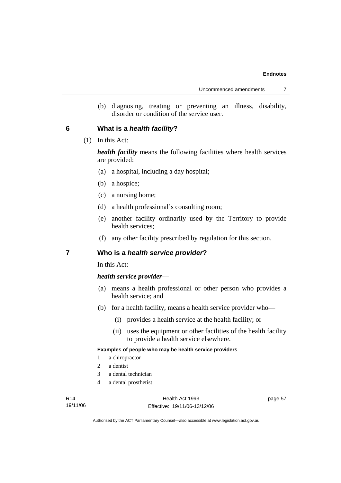(b) diagnosing, treating or preventing an illness, disability, disorder or condition of the service user.

### **6 What is a** *health facility***?**

(1) In this Act:

*health facility* means the following facilities where health services are provided:

- (a) a hospital, including a day hospital;
- (b) a hospice;
- (c) a nursing home;
- (d) a health professional's consulting room;
- (e) another facility ordinarily used by the Territory to provide health services;
- (f) any other facility prescribed by regulation for this section.

### **7 Who is a** *health service provider***?**

In this Act:

### *health service provider*—

- (a) means a health professional or other person who provides a health service; and
- (b) for a health facility, means a health service provider who—
	- (i) provides a health service at the health facility; or
	- (ii) uses the equipment or other facilities of the health facility to provide a health service elsewhere.

#### **Examples of people who may be health service providers**

- 1 a chiropractor
- 2 a dentist
- 3 a dental technician
- 4 a dental prosthetist

page 57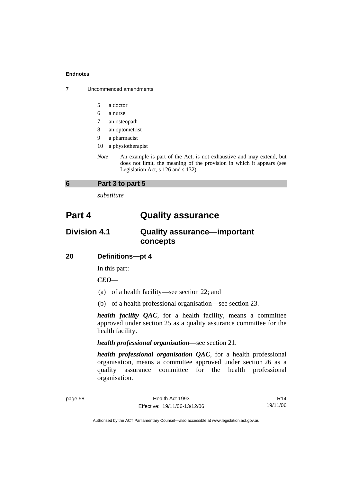| Uncommenced amendments |
|------------------------|
|                        |

- 5 a doctor
- 6 a nurse
- 7 an osteopath
- 8 an optometrist
- 9 a pharmacist
- 10 a physiotherapist
- *Note* An example is part of the Act, is not exhaustive and may extend, but does not limit, the meaning of the provision in which it appears (see Legislation Act, s 126 and s 132).

### **6 Part 3 to part 5**

*substitute* 

## **Part 4 Quality assurance**

### **Division 4.1 Quality assurance—important concepts**

### **20 Definitions—pt 4**

In this part:

*CEO*—

- (a) of a health facility—see section 22; and
- (b) of a health professional organisation—see section 23.

*health facility QAC*, for a health facility, means a committee approved under section 25 as a quality assurance committee for the health facility.

### *health professional organisation*—see section 21.

*health professional organisation QAC*, for a health professional organisation, means a committee approved under section 26 as a quality assurance committee for the health professional organisation.

R14 19/11/06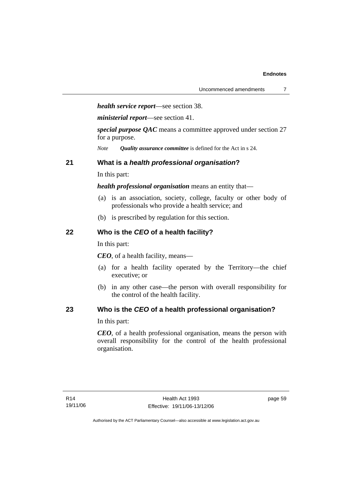*health service report*—see section 38.

*ministerial report*—see section 41.

*special purpose QAC* means a committee approved under section 27 for a purpose.

*Note Quality assurance committee* is defined for the Act in s 24.

### **21 What is a** *health professional organisation***?**

In this part:

*health professional organisation* means an entity that—

- (a) is an association, society, college, faculty or other body of professionals who provide a health service; and
- (b) is prescribed by regulation for this section.

### **22 Who is the** *CEO* **of a health facility?**

In this part:

*CEO*, of a health facility, means—

- (a) for a health facility operated by the Territory—the chief executive; or
- (b) in any other case—the person with overall responsibility for the control of the health facility.

### **23 Who is the** *CEO* **of a health professional organisation?**

In this part:

*CEO*, of a health professional organisation, means the person with overall responsibility for the control of the health professional organisation.

page 59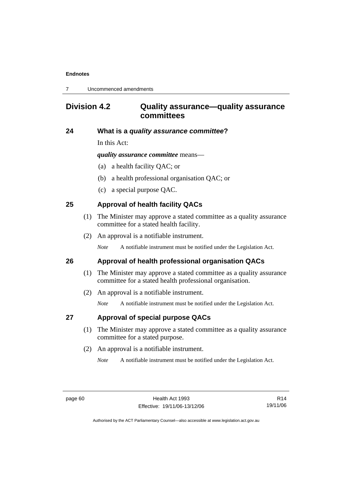7 Uncommenced amendments

## **Division 4.2 Quality assurance—quality assurance committees**

### **24 What is a** *quality assurance committee***?**

In this Act:

*quality assurance committee* means—

- (a) a health facility QAC; or
- (b) a health professional organisation QAC; or
- (c) a special purpose QAC.

### **25 Approval of health facility QACs**

- (1) The Minister may approve a stated committee as a quality assurance committee for a stated health facility.
- (2) An approval is a notifiable instrument.

*Note* A notifiable instrument must be notified under the Legislation Act.

### **26 Approval of health professional organisation QACs**

- (1) The Minister may approve a stated committee as a quality assurance committee for a stated health professional organisation.
- (2) An approval is a notifiable instrument.

*Note* A notifiable instrument must be notified under the Legislation Act.

### **27 Approval of special purpose QACs**

- (1) The Minister may approve a stated committee as a quality assurance committee for a stated purpose.
- (2) An approval is a notifiable instrument.

*Note* A notifiable instrument must be notified under the Legislation Act.

R14 19/11/06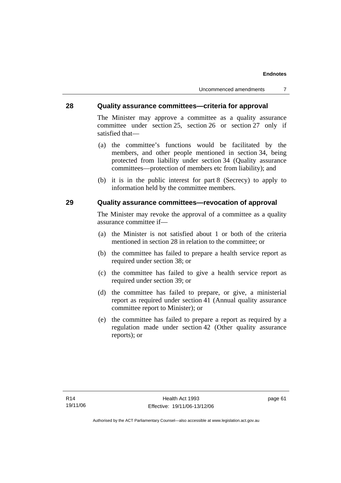Uncommenced amendments 7

### **28 Quality assurance committees—criteria for approval**

The Minister may approve a committee as a quality assurance committee under section 25, section 26 or section 27 only if satisfied that—

- (a) the committee's functions would be facilitated by the members, and other people mentioned in section 34, being protected from liability under section 34 (Quality assurance committees—protection of members etc from liability); and
- (b) it is in the public interest for part 8 (Secrecy) to apply to information held by the committee members.

### **29 Quality assurance committees—revocation of approval**

The Minister may revoke the approval of a committee as a quality assurance committee if—

- (a) the Minister is not satisfied about 1 or both of the criteria mentioned in section 28 in relation to the committee; or
- (b) the committee has failed to prepare a health service report as required under section 38; or
- (c) the committee has failed to give a health service report as required under section 39; or
- (d) the committee has failed to prepare, or give, a ministerial report as required under section 41 (Annual quality assurance committee report to Minister); or
- (e) the committee has failed to prepare a report as required by a regulation made under section 42 (Other quality assurance reports); or

page 61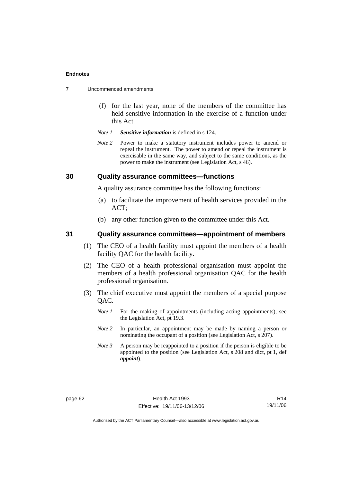|  | Uncommenced amendments |  |
|--|------------------------|--|
|--|------------------------|--|

- (f) for the last year, none of the members of the committee has held sensitive information in the exercise of a function under this Act.
- *Note 1 Sensitive information* is defined in s 124.
- *Note* 2 Power to make a statutory instrument includes power to amend or repeal the instrument. The power to amend or repeal the instrument is exercisable in the same way, and subject to the same conditions, as the power to make the instrument (see Legislation Act, s 46).

### **30 Quality assurance committees—functions**

A quality assurance committee has the following functions:

- (a) to facilitate the improvement of health services provided in the ACT;
- (b) any other function given to the committee under this Act.

### **31 Quality assurance committees—appointment of members**

- (1) The CEO of a health facility must appoint the members of a health facility QAC for the health facility.
- (2) The CEO of a health professional organisation must appoint the members of a health professional organisation QAC for the health professional organisation.
- (3) The chief executive must appoint the members of a special purpose QAC.
	- *Note 1* For the making of appointments (including acting appointments), see the Legislation Act, pt 19.3.
	- *Note* 2 In particular, an appointment may be made by naming a person or nominating the occupant of a position (see Legislation Act, s 207).
	- *Note 3* A person may be reappointed to a position if the person is eligible to be appointed to the position (see Legislation Act, s 208 and dict, pt 1, def *appoint*).

R14 19/11/06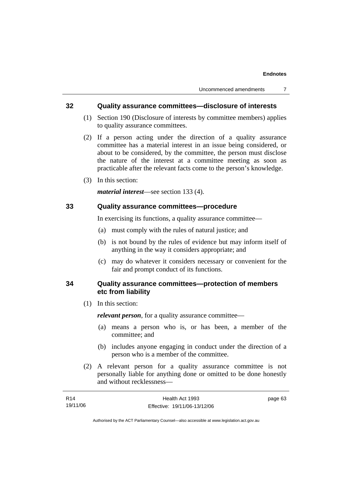### **32 Quality assurance committees—disclosure of interests**

- (1) Section 190 (Disclosure of interests by committee members) applies to quality assurance committees.
- (2) If a person acting under the direction of a quality assurance committee has a material interest in an issue being considered, or about to be considered, by the committee, the person must disclose the nature of the interest at a committee meeting as soon as practicable after the relevant facts come to the person's knowledge.
- (3) In this section:

*material interest*—see section 133 (4).

### **33 Quality assurance committees—procedure**

In exercising its functions, a quality assurance committee—

- (a) must comply with the rules of natural justice; and
- (b) is not bound by the rules of evidence but may inform itself of anything in the way it considers appropriate; and
- (c) may do whatever it considers necessary or convenient for the fair and prompt conduct of its functions.

### **34 Quality assurance committees—protection of members etc from liability**

(1) In this section:

*relevant person*, for a quality assurance committee—

- (a) means a person who is, or has been, a member of the committee; and
- (b) includes anyone engaging in conduct under the direction of a person who is a member of the committee.
- (2) A relevant person for a quality assurance committee is not personally liable for anything done or omitted to be done honestly and without recklessness—

| R14      | Health Act 1993              | page 63 |
|----------|------------------------------|---------|
| 19/11/06 | Effective: 19/11/06-13/12/06 |         |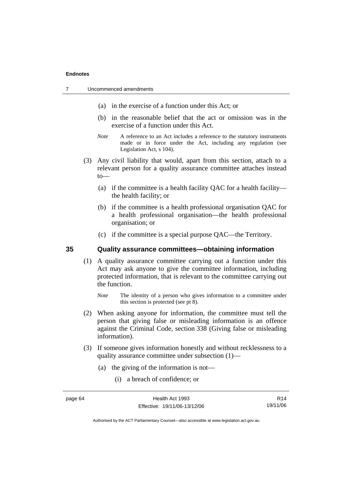- (a) in the exercise of a function under this Act; or
- (b) in the reasonable belief that the act or omission was in the exercise of a function under this Act.
- *Note* A reference to an Act includes a reference to the statutory instruments made or in force under the Act, including any regulation (see Legislation Act, s 104).
- (3) Any civil liability that would, apart from this section, attach to a relevant person for a quality assurance committee attaches instead to—
	- (a) if the committee is a health facility QAC for a health facility the health facility; or
	- (b) if the committee is a health professional organisation QAC for a health professional organisation—the health professional organisation; or
	- (c) if the committee is a special purpose QAC—the Territory.

### **35 Quality assurance committees—obtaining information**

 (1) A quality assurance committee carrying out a function under this Act may ask anyone to give the committee information, including protected information, that is relevant to the committee carrying out the function.

*Note* The identity of a person who gives information to a committee under this section is protected (see pt 8).

- (2) When asking anyone for information, the committee must tell the person that giving false or misleading information is an offence against the Criminal Code, section 338 (Giving false or misleading information).
- (3) If someone gives information honestly and without recklessness to a quality assurance committee under subsection (1)—
	- (a) the giving of the information is not—
		- (i) a breach of confidence; or

R14 19/11/06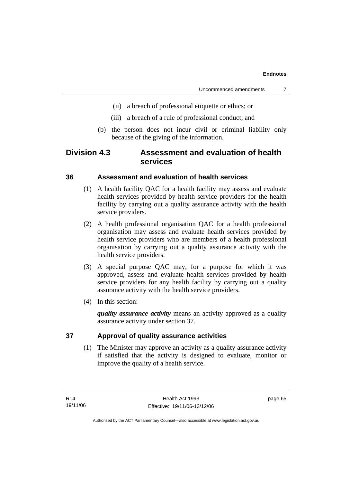- (ii) a breach of professional etiquette or ethics; or
- (iii) a breach of a rule of professional conduct; and
- (b) the person does not incur civil or criminal liability only because of the giving of the information.

### **Division 4.3 Assessment and evaluation of health services**

### **36 Assessment and evaluation of health services**

- (1) A health facility QAC for a health facility may assess and evaluate health services provided by health service providers for the health facility by carrying out a quality assurance activity with the health service providers.
- (2) A health professional organisation QAC for a health professional organisation may assess and evaluate health services provided by health service providers who are members of a health professional organisation by carrying out a quality assurance activity with the health service providers.
- (3) A special purpose QAC may, for a purpose for which it was approved, assess and evaluate health services provided by health service providers for any health facility by carrying out a quality assurance activity with the health service providers.
- (4) In this section:

*quality assurance activity* means an activity approved as a quality assurance activity under section 37.

### **37 Approval of quality assurance activities**

 (1) The Minister may approve an activity as a quality assurance activity if satisfied that the activity is designed to evaluate, monitor or improve the quality of a health service.

page 65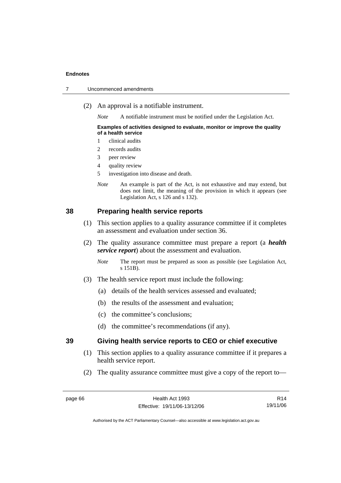|  | Uncommenced amendments |
|--|------------------------|
|--|------------------------|

(2) An approval is a notifiable instrument.

*Note* A notifiable instrument must be notified under the Legislation Act.

#### **Examples of activities designed to evaluate, monitor or improve the quality of a health service**

- 1 clinical audits
- 2 records audits
- 3 peer review
- 4 quality review
- 5 investigation into disease and death.
- *Note* An example is part of the Act, is not exhaustive and may extend, but does not limit, the meaning of the provision in which it appears (see Legislation Act, s 126 and s 132).

### **38 Preparing health service reports**

- (1) This section applies to a quality assurance committee if it completes an assessment and evaluation under section 36.
- (2) The quality assurance committee must prepare a report (a *health service report*) about the assessment and evaluation.
	- *Note* The report must be prepared as soon as possible (see Legislation Act, s 151B).
- (3) The health service report must include the following:
	- (a) details of the health services assessed and evaluated;
	- (b) the results of the assessment and evaluation;
	- (c) the committee's conclusions;
	- (d) the committee's recommendations (if any).

### **39 Giving health service reports to CEO or chief executive**

- (1) This section applies to a quality assurance committee if it prepares a health service report.
- (2) The quality assurance committee must give a copy of the report to—

R14 19/11/06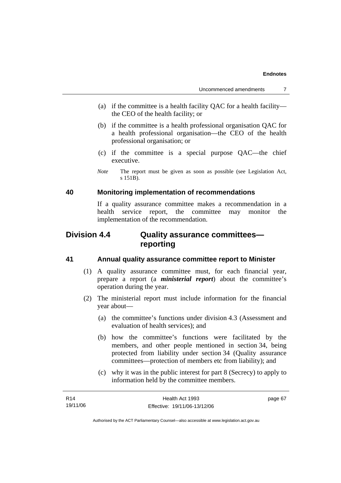- (a) if the committee is a health facility QAC for a health facility the CEO of the health facility; or
- (b) if the committee is a health professional organisation QAC for a health professional organisation—the CEO of the health professional organisation; or
- (c) if the committee is a special purpose QAC—the chief executive.
- *Note* The report must be given as soon as possible (see Legislation Act, s 151B).

### **40 Monitoring implementation of recommendations**

If a quality assurance committee makes a recommendation in a health service report, the committee may monitor the implementation of the recommendation.

# **Division 4.4 Quality assurance committees reporting**

### **41 Annual quality assurance committee report to Minister**

- (1) A quality assurance committee must, for each financial year, prepare a report (a *ministerial report*) about the committee's operation during the year.
- (2) The ministerial report must include information for the financial year about—
	- (a) the committee's functions under division 4.3 (Assessment and evaluation of health services); and
	- (b) how the committee's functions were facilitated by the members, and other people mentioned in section 34, being protected from liability under section 34 (Quality assurance committees—protection of members etc from liability); and
	- (c) why it was in the public interest for part 8 (Secrecy) to apply to information held by the committee members.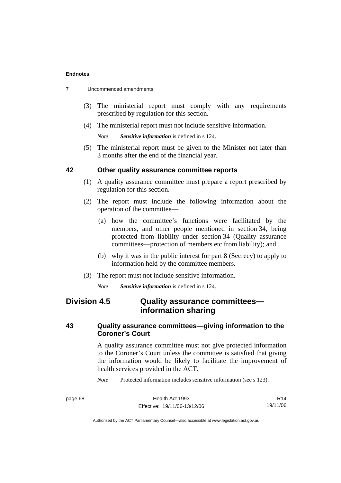|  | Uncommenced amendments |
|--|------------------------|
|--|------------------------|

- (3) The ministerial report must comply with any requirements prescribed by regulation for this section.
- (4) The ministerial report must not include sensitive information.

*Note Sensitive information* is defined in s 124.

 (5) The ministerial report must be given to the Minister not later than 3 months after the end of the financial year.

## **42 Other quality assurance committee reports**

- (1) A quality assurance committee must prepare a report prescribed by regulation for this section.
- (2) The report must include the following information about the operation of the committee—
	- (a) how the committee's functions were facilitated by the members, and other people mentioned in section 34, being protected from liability under section 34 (Quality assurance committees—protection of members etc from liability); and
	- (b) why it was in the public interest for part 8 (Secrecy) to apply to information held by the committee members.
- (3) The report must not include sensitive information.

*Note Sensitive information* is defined in s 124.

# **Division 4.5 Quality assurance committees information sharing**

# **43 Quality assurance committees—giving information to the Coroner's Court**

A quality assurance committee must not give protected information to the Coroner's Court unless the committee is satisfied that giving the information would be likely to facilitate the improvement of health services provided in the ACT.

*Note* Protected information includes sensitive information (see s 123).

| page 68 | Health Act 1993              | R <sub>14</sub> |
|---------|------------------------------|-----------------|
|         | Effective: 19/11/06-13/12/06 | 19/11/06        |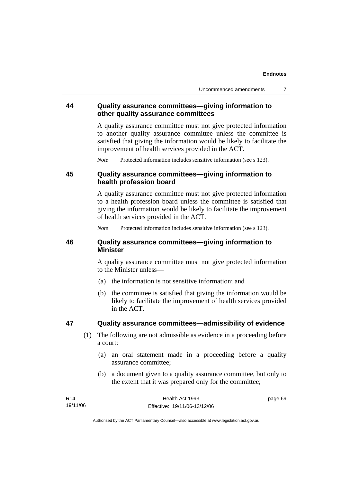# **44 Quality assurance committees—giving information to other quality assurance committees**

A quality assurance committee must not give protected information to another quality assurance committee unless the committee is satisfied that giving the information would be likely to facilitate the improvement of health services provided in the ACT.

*Note* Protected information includes sensitive information (see s 123).

# **45 Quality assurance committees—giving information to health profession board**

A quality assurance committee must not give protected information to a health profession board unless the committee is satisfied that giving the information would be likely to facilitate the improvement of health services provided in the ACT.

*Note* Protected information includes sensitive information (see s 123).

# **46 Quality assurance committees—giving information to Minister**

A quality assurance committee must not give protected information to the Minister unless—

- (a) the information is not sensitive information; and
- (b) the committee is satisfied that giving the information would be likely to facilitate the improvement of health services provided in the ACT.

# **47 Quality assurance committees—admissibility of evidence**

- (1) The following are not admissible as evidence in a proceeding before a court:
	- (a) an oral statement made in a proceeding before a quality assurance committee;
	- (b) a document given to a quality assurance committee, but only to the extent that it was prepared only for the committee;

| R14      | Health Act 1993              | page 69 |
|----------|------------------------------|---------|
| 19/11/06 | Effective: 19/11/06-13/12/06 |         |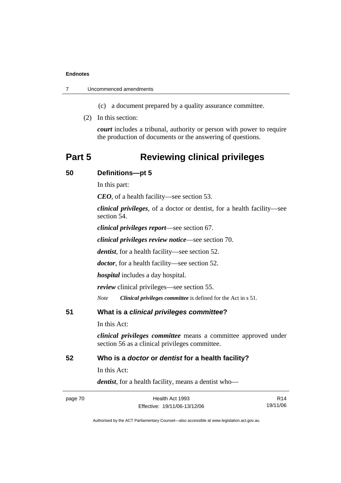7 Uncommenced amendments

(c) a document prepared by a quality assurance committee.

(2) In this section:

*court* includes a tribunal, authority or person with power to require the production of documents or the answering of questions.

# **Part 5 Reviewing clinical privileges**

### **50 Definitions—pt 5**

In this part:

*CEO*, of a health facility—see section 53.

*clinical privileges*, of a doctor or dentist, for a health facility—see section 54.

*clinical privileges report*—see section 67.

*clinical privileges review notice*—see section 70.

*dentist*, for a health facility—see section 52.

*doctor*, for a health facility—see section 52.

*hospital* includes a day hospital.

*review* clinical privileges—see section 55.

*Note Clinical privileges committee* is defined for the Act in s 51.

**51 What is a** *clinical privileges committee***?** 

In this Act:

*clinical privileges committee* means a committee approved under section 56 as a clinical privileges committee.

### **52 Who is a** *doctor* **or** *dentist* **for a health facility?**

In this Act:

*dentist*, for a health facility, means a dentist who—

| page 70 | Health Act 1993              | R <sub>14</sub> |
|---------|------------------------------|-----------------|
|         | Effective: 19/11/06-13/12/06 | 19/11/06        |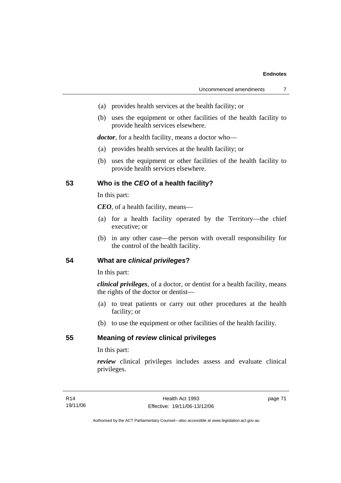- (a) provides health services at the health facility; or
- (b) uses the equipment or other facilities of the health facility to provide health services elsewhere.

*doctor*, for a health facility, means a doctor who—

- (a) provides health services at the health facility; or
- (b) uses the equipment or other facilities of the health facility to provide health services elsewhere.

# **53 Who is the** *CEO* **of a health facility?**

In this part:

*CEO*, of a health facility, means—

- (a) for a health facility operated by the Territory—the chief executive; or
- (b) in any other case—the person with overall responsibility for the control of the health facility.

## **54 What are** *clinical privileges***?**

In this part:

*clinical privileges*, of a doctor, or dentist for a health facility, means the rights of the doctor or dentist—

- (a) to treat patients or carry out other procedures at the health facility; or
- (b) to use the equipment or other facilities of the health facility.

# **55 Meaning of** *review* **clinical privileges**

In this part:

*review* clinical privileges includes assess and evaluate clinical privileges.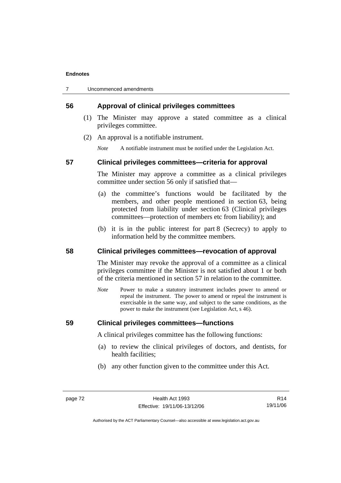# **56 Approval of clinical privileges committees**

- (1) The Minister may approve a stated committee as a clinical privileges committee.
- (2) An approval is a notifiable instrument.

*Note* A notifiable instrument must be notified under the Legislation Act.

#### **57 Clinical privileges committees—criteria for approval**

The Minister may approve a committee as a clinical privileges committee under section 56 only if satisfied that—

- (a) the committee's functions would be facilitated by the members, and other people mentioned in section 63, being protected from liability under section 63 (Clinical privileges committees—protection of members etc from liability); and
- (b) it is in the public interest for part 8 (Secrecy) to apply to information held by the committee members.

## **58 Clinical privileges committees—revocation of approval**

The Minister may revoke the approval of a committee as a clinical privileges committee if the Minister is not satisfied about 1 or both of the criteria mentioned in section 57 in relation to the committee.

*Note* Power to make a statutory instrument includes power to amend or repeal the instrument. The power to amend or repeal the instrument is exercisable in the same way, and subject to the same conditions, as the power to make the instrument (see Legislation Act, s 46).

# **59 Clinical privileges committees—functions**

A clinical privileges committee has the following functions:

- (a) to review the clinical privileges of doctors, and dentists, for health facilities;
- (b) any other function given to the committee under this Act.

R14 19/11/06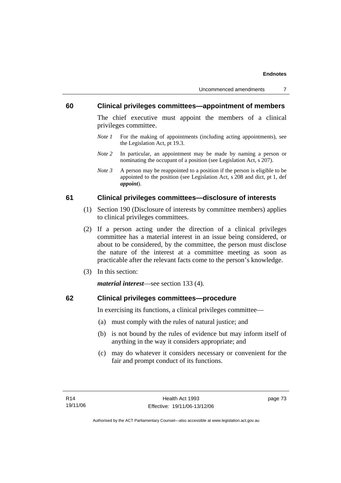### **60 Clinical privileges committees—appointment of members**

The chief executive must appoint the members of a clinical privileges committee.

- *Note 1* For the making of appointments (including acting appointments), see the Legislation Act, pt 19.3.
- *Note 2* In particular, an appointment may be made by naming a person or nominating the occupant of a position (see Legislation Act, s 207).
- *Note 3* A person may be reappointed to a position if the person is eligible to be appointed to the position (see Legislation Act, s 208 and dict, pt 1, def *appoint*).

### **61 Clinical privileges committees—disclosure of interests**

- (1) Section 190 (Disclosure of interests by committee members) applies to clinical privileges committees.
- (2) If a person acting under the direction of a clinical privileges committee has a material interest in an issue being considered, or about to be considered, by the committee, the person must disclose the nature of the interest at a committee meeting as soon as practicable after the relevant facts come to the person's knowledge.
- (3) In this section:

*material interest*—see section 133 (4).

# **62 Clinical privileges committees—procedure**

In exercising its functions, a clinical privileges committee—

- (a) must comply with the rules of natural justice; and
- (b) is not bound by the rules of evidence but may inform itself of anything in the way it considers appropriate; and
- (c) may do whatever it considers necessary or convenient for the fair and prompt conduct of its functions.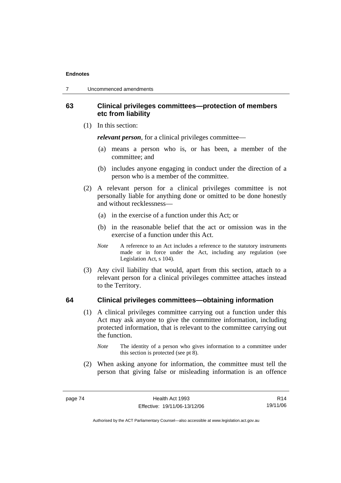# **63 Clinical privileges committees—protection of members etc from liability**

(1) In this section:

*relevant person*, for a clinical privileges committee—

- (a) means a person who is, or has been, a member of the committee; and
- (b) includes anyone engaging in conduct under the direction of a person who is a member of the committee.
- (2) A relevant person for a clinical privileges committee is not personally liable for anything done or omitted to be done honestly and without recklessness—
	- (a) in the exercise of a function under this Act; or
	- (b) in the reasonable belief that the act or omission was in the exercise of a function under this Act.
	- *Note* A reference to an Act includes a reference to the statutory instruments made or in force under the Act, including any regulation (see Legislation Act, s 104).
- (3) Any civil liability that would, apart from this section, attach to a relevant person for a clinical privileges committee attaches instead to the Territory.

### **64 Clinical privileges committees—obtaining information**

- (1) A clinical privileges committee carrying out a function under this Act may ask anyone to give the committee information, including protected information, that is relevant to the committee carrying out the function.
	- *Note* The identity of a person who gives information to a committee under this section is protected (see pt 8).
- (2) When asking anyone for information, the committee must tell the person that giving false or misleading information is an offence

R14 19/11/06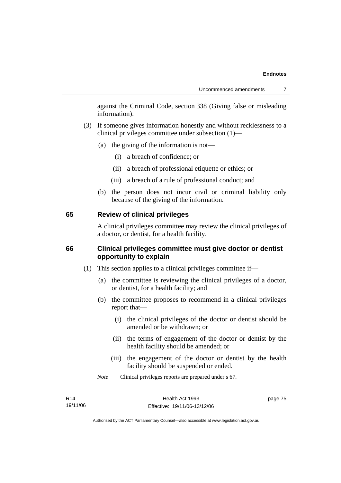against the Criminal Code, section 338 (Giving false or misleading information).

- (3) If someone gives information honestly and without recklessness to a clinical privileges committee under subsection (1)—
	- (a) the giving of the information is not—
		- (i) a breach of confidence; or
		- (ii) a breach of professional etiquette or ethics; or
		- (iii) a breach of a rule of professional conduct; and
	- (b) the person does not incur civil or criminal liability only because of the giving of the information.

#### **65 Review of clinical privileges**

A clinical privileges committee may review the clinical privileges of a doctor, or dentist, for a health facility.

# **66 Clinical privileges committee must give doctor or dentist opportunity to explain**

- (1) This section applies to a clinical privileges committee if—
	- (a) the committee is reviewing the clinical privileges of a doctor, or dentist, for a health facility; and
	- (b) the committee proposes to recommend in a clinical privileges report that—
		- (i) the clinical privileges of the doctor or dentist should be amended or be withdrawn; or
		- (ii) the terms of engagement of the doctor or dentist by the health facility should be amended; or
		- (iii) the engagement of the doctor or dentist by the health facility should be suspended or ended.
	- *Note* Clinical privileges reports are prepared under s 67.

| R14      | Health Act 1993              | page 75 |
|----------|------------------------------|---------|
| 19/11/06 | Effective: 19/11/06-13/12/06 |         |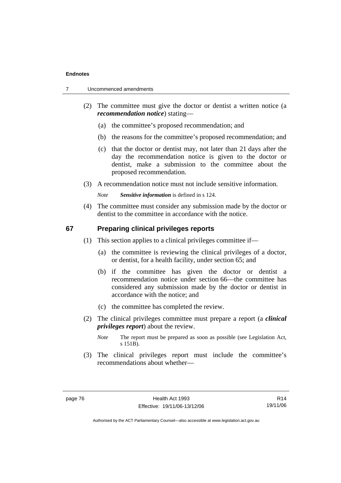- 7 Uncommenced amendments
	- (2) The committee must give the doctor or dentist a written notice (a *recommendation notice*) stating—
		- (a) the committee's proposed recommendation; and
		- (b) the reasons for the committee's proposed recommendation; and
		- (c) that the doctor or dentist may, not later than 21 days after the day the recommendation notice is given to the doctor or dentist, make a submission to the committee about the proposed recommendation.
	- (3) A recommendation notice must not include sensitive information.

*Note Sensitive information* is defined in s 124.

 (4) The committee must consider any submission made by the doctor or dentist to the committee in accordance with the notice.

#### **67 Preparing clinical privileges reports**

- (1) This section applies to a clinical privileges committee if—
	- (a) the committee is reviewing the clinical privileges of a doctor, or dentist, for a health facility, under section 65; and
	- (b) if the committee has given the doctor or dentist a recommendation notice under section 66—the committee has considered any submission made by the doctor or dentist in accordance with the notice; and
	- (c) the committee has completed the review.
- (2) The clinical privileges committee must prepare a report (a *clinical privileges report*) about the review.
	- *Note* The report must be prepared as soon as possible (see Legislation Act, s 151B).
- (3) The clinical privileges report must include the committee's recommendations about whether—

R14 19/11/06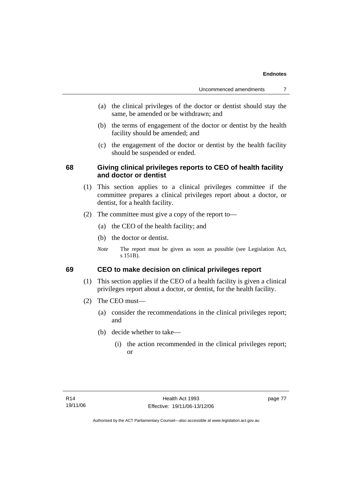- (a) the clinical privileges of the doctor or dentist should stay the same, be amended or be withdrawn; and
- (b) the terms of engagement of the doctor or dentist by the health facility should be amended; and
- (c) the engagement of the doctor or dentist by the health facility should be suspended or ended.

# **68 Giving clinical privileges reports to CEO of health facility and doctor or dentist**

- (1) This section applies to a clinical privileges committee if the committee prepares a clinical privileges report about a doctor, or dentist, for a health facility.
- (2) The committee must give a copy of the report to—
	- (a) the CEO of the health facility; and
	- (b) the doctor or dentist.
	- *Note* The report must be given as soon as possible (see Legislation Act, s 151B).

# **69 CEO to make decision on clinical privileges report**

- (1) This section applies if the CEO of a health facility is given a clinical privileges report about a doctor, or dentist, for the health facility.
- (2) The CEO must—
	- (a) consider the recommendations in the clinical privileges report; and
	- (b) decide whether to take—
		- (i) the action recommended in the clinical privileges report; or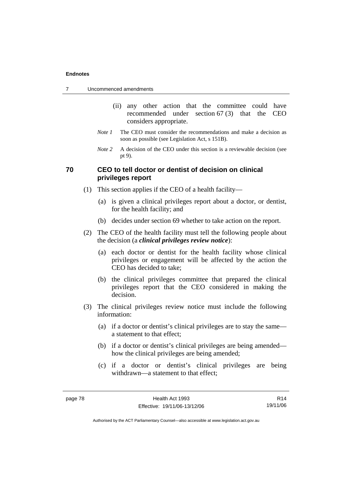| Uncommenced amendments |  |
|------------------------|--|
|------------------------|--|

- (ii) any other action that the committee could have recommended under section 67 (3) that the CEO considers appropriate.
- *Note 1* The CEO must consider the recommendations and make a decision as soon as possible (see Legislation Act, s 151B).
- *Note* 2 A decision of the CEO under this section is a reviewable decision (see pt 9).

# **70 CEO to tell doctor or dentist of decision on clinical privileges report**

- (1) This section applies if the CEO of a health facility—
	- (a) is given a clinical privileges report about a doctor, or dentist, for the health facility; and
	- (b) decides under section 69 whether to take action on the report.
- (2) The CEO of the health facility must tell the following people about the decision (a *clinical privileges review notice*):
	- (a) each doctor or dentist for the health facility whose clinical privileges or engagement will be affected by the action the CEO has decided to take;
	- (b) the clinical privileges committee that prepared the clinical privileges report that the CEO considered in making the decision.
- (3) The clinical privileges review notice must include the following information:
	- (a) if a doctor or dentist's clinical privileges are to stay the same a statement to that effect;
	- (b) if a doctor or dentist's clinical privileges are being amended how the clinical privileges are being amended;
	- (c) if a doctor or dentist's clinical privileges are being withdrawn—a statement to that effect;

R14 19/11/06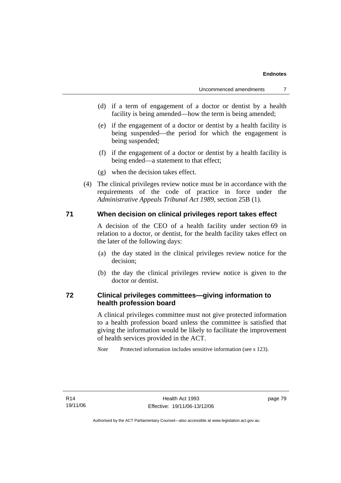- (d) if a term of engagement of a doctor or dentist by a health facility is being amended—how the term is being amended;
- (e) if the engagement of a doctor or dentist by a health facility is being suspended—the period for which the engagement is being suspended;
- (f) if the engagement of a doctor or dentist by a health facility is being ended—a statement to that effect;
- (g) when the decision takes effect.
- (4) The clinical privileges review notice must be in accordance with the requirements of the code of practice in force under the *Administrative Appeals Tribunal Act 1989*, section 25B (1).

#### **71 When decision on clinical privileges report takes effect**

A decision of the CEO of a health facility under section 69 in relation to a doctor, or dentist, for the health facility takes effect on the later of the following days:

- (a) the day stated in the clinical privileges review notice for the decision;
- (b) the day the clinical privileges review notice is given to the doctor or dentist.

# **72 Clinical privileges committees—giving information to health profession board**

A clinical privileges committee must not give protected information to a health profession board unless the committee is satisfied that giving the information would be likely to facilitate the improvement of health services provided in the ACT.

*Note* Protected information includes sensitive information (see s 123).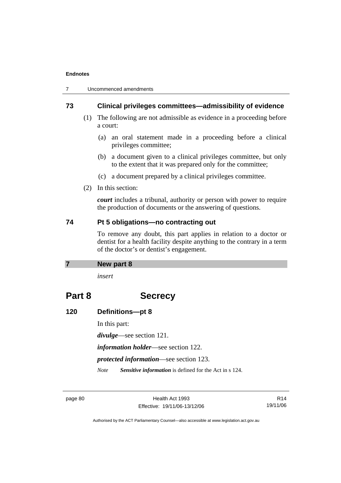| Uncommenced amendments |
|------------------------|
|                        |

### **73 Clinical privileges committees—admissibility of evidence**

- (1) The following are not admissible as evidence in a proceeding before a court:
	- (a) an oral statement made in a proceeding before a clinical privileges committee;
	- (b) a document given to a clinical privileges committee, but only to the extent that it was prepared only for the committee;
	- (c) a document prepared by a clinical privileges committee.
- (2) In this section:

*court* includes a tribunal, authority or person with power to require the production of documents or the answering of questions.

#### **74 Pt 5 obligations—no contracting out**

To remove any doubt, this part applies in relation to a doctor or dentist for a health facility despite anything to the contrary in a term of the doctor's or dentist's engagement.

#### **7 New part 8**

*insert* 

# **Part 8 Secrecy**

# **120 Definitions—pt 8**

In this part:

*divulge*—see section 121.

*information holder*—see section 122.

*protected information*—see section 123.

*Note Sensitive information* is defined for the Act in s 124.

page 80 Health Act 1993 Effective: 19/11/06-13/12/06

R14 19/11/06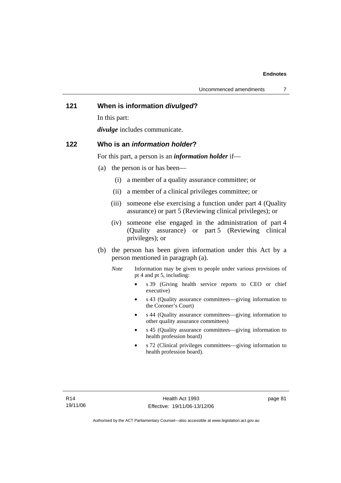# **121 When is information** *divulged***?**

In this part:

*divulge* includes communicate.

#### **122 Who is an** *information holder***?**

For this part, a person is an *information holder* if—

- (a) the person is or has been—
	- (i) a member of a quality assurance committee; or
	- (ii) a member of a clinical privileges committee; or
	- (iii) someone else exercising a function under part 4 (Quality assurance) or part 5 (Reviewing clinical privileges); or
	- (iv) someone else engaged in the administration of part 4 (Quality assurance) or part 5 (Reviewing clinical privileges); or
- (b) the person has been given information under this Act by a person mentioned in paragraph (a).
	- *Note* Information may be given to people under various provisions of pt 4 and pt 5, including:
		- s 39 (Giving health service reports to CEO or chief executive)
		- s 43 (Quality assurance committees—giving information to the Coroner's Court)
		- s 44 (Quality assurance committees—giving information to other quality assurance committees)
		- s 45 (Quality assurance committees—giving information to health profession board)
		- s 72 (Clinical privileges committees—giving information to health profession board).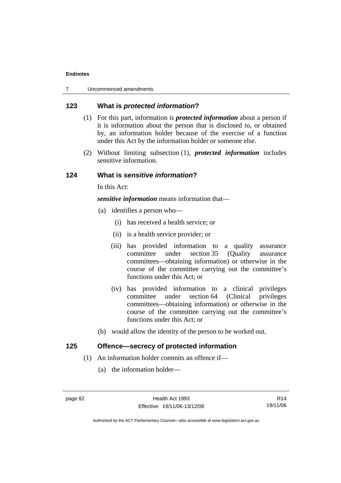# **123 What is** *protected information***?**

- (1) For this part, information is *protected information* about a person if it is information about the person that is disclosed to, or obtained by, an information holder because of the exercise of a function under this Act by the information holder or someone else.
- (2) Without limiting subsection (1), *protected information* includes sensitive information.

# **124 What is** *sensitive information***?**

In this Act:

*sensitive information* means information that—

- (a) identifies a person who—
	- (i) has received a health service; or
	- (ii) is a health service provider; or
	- (iii) has provided information to a quality assurance committee under section 35 (Quality assurance committees—obtaining information) or otherwise in the course of the committee carrying out the committee's functions under this Act; or
	- (iv) has provided information to a clinical privileges committee under section 64 (Clinical privileges committees—obtaining information) or otherwise in the course of the committee carrying out the committee's functions under this Act; or
- (b) would allow the identity of the person to be worked out.

# **125 Offence—secrecy of protected information**

- (1) An information holder commits an offence if—
	- (a) the information holder—

R14 19/11/06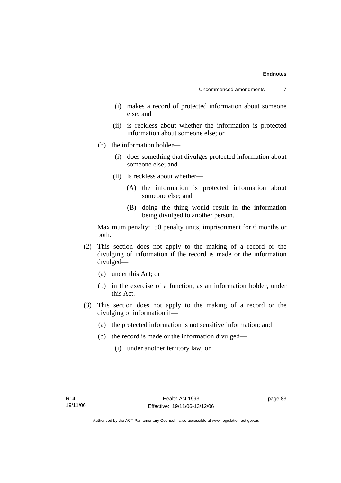- (i) makes a record of protected information about someone else; and
- (ii) is reckless about whether the information is protected information about someone else; or
- (b) the information holder—
	- (i) does something that divulges protected information about someone else; and
	- (ii) is reckless about whether—
		- (A) the information is protected information about someone else; and
		- (B) doing the thing would result in the information being divulged to another person.

Maximum penalty: 50 penalty units, imprisonment for 6 months or both.

- (2) This section does not apply to the making of a record or the divulging of information if the record is made or the information divulged—
	- (a) under this Act; or
	- (b) in the exercise of a function, as an information holder, under this Act.
- (3) This section does not apply to the making of a record or the divulging of information if—
	- (a) the protected information is not sensitive information; and
	- (b) the record is made or the information divulged—
		- (i) under another territory law; or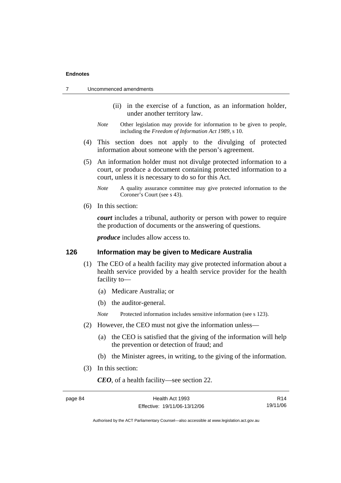|  | Uncommenced amendments |
|--|------------------------|
|--|------------------------|

- (ii) in the exercise of a function, as an information holder, under another territory law.
- *Note* Other legislation may provide for information to be given to people, including the *Freedom of Information Act 1989*, s 10.
- (4) This section does not apply to the divulging of protected information about someone with the person's agreement.
- (5) An information holder must not divulge protected information to a court, or produce a document containing protected information to a court, unless it is necessary to do so for this Act.
	- *Note* A quality assurance committee may give protected information to the Coroner's Court (see s 43).
- (6) In this section:

*court* includes a tribunal, authority or person with power to require the production of documents or the answering of questions.

*produce* includes allow access to.

#### **126 Information may be given to Medicare Australia**

- (1) The CEO of a health facility may give protected information about a health service provided by a health service provider for the health facility to—
	- (a) Medicare Australia; or
	- (b) the auditor-general.

*Note* Protected information includes sensitive information (see s 123).

- (2) However, the CEO must not give the information unless—
	- (a) the CEO is satisfied that the giving of the information will help the prevention or detection of fraud; and
	- (b) the Minister agrees, in writing, to the giving of the information.
- (3) In this section:

*CEO*, of a health facility—see section 22.

R14 19/11/06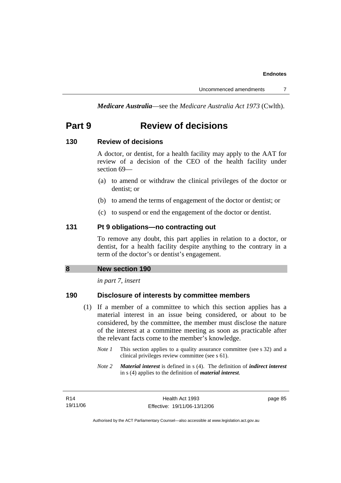*Medicare Australia*—see the *Medicare Australia Act 1973* (Cwlth).

# **Part 9 Review of decisions**

# **130 Review of decisions**

A doctor, or dentist, for a health facility may apply to the AAT for review of a decision of the CEO of the health facility under section 69—

- (a) to amend or withdraw the clinical privileges of the doctor or dentist; or
- (b) to amend the terms of engagement of the doctor or dentist; or
- (c) to suspend or end the engagement of the doctor or dentist.

# **131 Pt 9 obligations—no contracting out**

To remove any doubt, this part applies in relation to a doctor, or dentist, for a health facility despite anything to the contrary in a term of the doctor's or dentist's engagement.

# **8 New section 190**

*in part 7, insert* 

# **190 Disclosure of interests by committee members**

- (1) If a member of a committee to which this section applies has a material interest in an issue being considered, or about to be considered, by the committee, the member must disclose the nature of the interest at a committee meeting as soon as practicable after the relevant facts come to the member's knowledge.
	- *Note 1* This section applies to a quality assurance committee (see s 32) and a clinical privileges review committee (see s 61).
	- *Note 2 Material interest* is defined in s (4). The definition of *indirect interest* in s (4) applies to the definition of *material interest*.

R14 19/11/06 page 85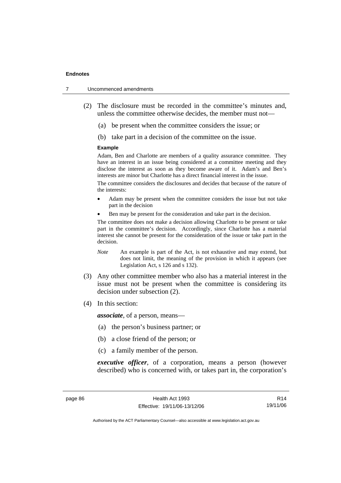- 7 Uncommenced amendments
	- (2) The disclosure must be recorded in the committee's minutes and, unless the committee otherwise decides, the member must not—
		- (a) be present when the committee considers the issue; or
		- (b) take part in a decision of the committee on the issue.

#### **Example**

Adam, Ben and Charlotte are members of a quality assurance committee. They have an interest in an issue being considered at a committee meeting and they disclose the interest as soon as they become aware of it. Adam's and Ben's interests are minor but Charlotte has a direct financial interest in the issue.

The committee considers the disclosures and decides that because of the nature of the interests:

- Adam may be present when the committee considers the issue but not take part in the decision
- Ben may be present for the consideration and take part in the decision.

The committee does not make a decision allowing Charlotte to be present or take part in the committee's decision. Accordingly, since Charlotte has a material interest she cannot be present for the consideration of the issue or take part in the decision.

- *Note* An example is part of the Act, is not exhaustive and may extend, but does not limit, the meaning of the provision in which it appears (see Legislation Act, s 126 and s 132).
- (3) Any other committee member who also has a material interest in the issue must not be present when the committee is considering its decision under subsection (2).
- (4) In this section:

*associate*, of a person, means—

- (a) the person's business partner; or
- (b) a close friend of the person; or
- (c) a family member of the person.

*executive officer*, of a corporation, means a person (however described) who is concerned with, or takes part in, the corporation's

R14 19/11/06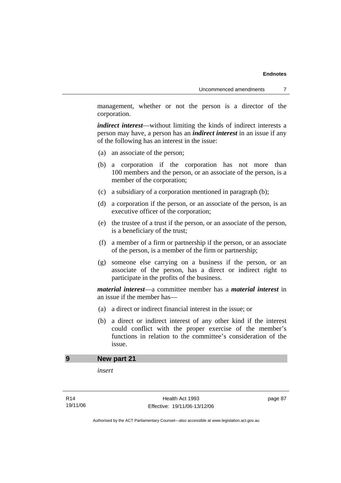management, whether or not the person is a director of the corporation.

*indirect interest*—without limiting the kinds of indirect interests a person may have, a person has an *indirect interest* in an issue if any of the following has an interest in the issue:

- (a) an associate of the person;
- (b) a corporation if the corporation has not more than 100 members and the person, or an associate of the person, is a member of the corporation;
- (c) a subsidiary of a corporation mentioned in paragraph (b);
- (d) a corporation if the person, or an associate of the person, is an executive officer of the corporation;
- (e) the trustee of a trust if the person, or an associate of the person, is a beneficiary of the trust;
- (f) a member of a firm or partnership if the person, or an associate of the person, is a member of the firm or partnership;
- (g) someone else carrying on a business if the person, or an associate of the person, has a direct or indirect right to participate in the profits of the business.

*material interest*—a committee member has a *material interest* in an issue if the member has—

- (a) a direct or indirect financial interest in the issue; or
- (b) a direct or indirect interest of any other kind if the interest could conflict with the proper exercise of the member's functions in relation to the committee's consideration of the issue.

### **9 New part 21**

*insert* 

page 87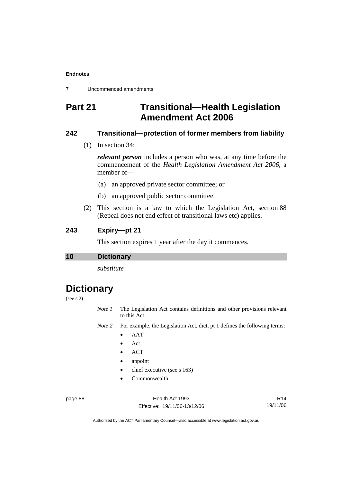7 Uncommenced amendments

# **Part 21 Transitional—Health Legislation Amendment Act 2006**

# **242 Transitional—protection of former members from liability**

(1) In section 34:

*relevant person* includes a person who was, at any time before the commencement of the *Health Legislation Amendment Act 2006*, a member of—

- (a) an approved private sector committee; or
- (b) an approved public sector committee.
- (2) This section is a law to which the Legislation Act, section 88 (Repeal does not end effect of transitional laws etc) applies.

# **243 Expiry—pt 21**

This section expires 1 year after the day it commences.

### **10 Dictionary**

*substitute* 

# **Dictionary**

# (see s 2)

*Note 1* The Legislation Act contains definitions and other provisions relevant to this Act.

*Note 2* For example, the Legislation Act, dict, pt 1 defines the following terms:

- AAT
- Act
- ACT
- appoint
- chief executive (see s 163)
- Commonwealth

page 88 Health Act 1993 Effective: 19/11/06-13/12/06

R14 19/11/06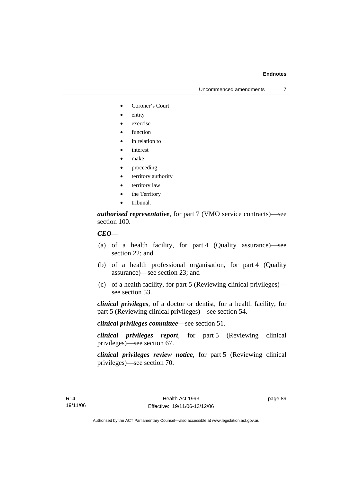Uncommenced amendments 7

- Coroner's Court
- entity
- exercise
- function
- in relation to
- *interest*
- make
- proceeding
- territory authority
- territory law
- the Territory
- tribunal.

*authorised representative*, for part 7 (VMO service contracts)—see section 100.

#### *CEO*—

- (a) of a health facility, for part 4 (Quality assurance)—see section 22; and
- (b) of a health professional organisation, for part 4 (Quality assurance)—see section 23; and
- (c) of a health facility, for part 5 (Reviewing clinical privileges) see section 53.

*clinical privileges*, of a doctor or dentist, for a health facility, for part 5 (Reviewing clinical privileges)—see section 54.

*clinical privileges committee*—see section 51.

*clinical privileges report*, for part 5 (Reviewing clinical privileges)—see section 67.

*clinical privileges review notice*, for part 5 (Reviewing clinical privileges)—see section 70.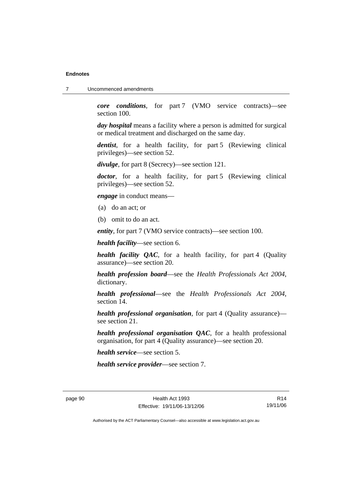7 Uncommenced amendments

*core conditions*, for part 7 (VMO service contracts)—see section 100.

*day hospital* means a facility where a person is admitted for surgical or medical treatment and discharged on the same day.

*dentist*, for a health facility, for part 5 (Reviewing clinical privileges)—see section 52.

*divulge*, for part 8 (Secrecy)—see section 121.

*doctor*, for a health facility, for part 5 (Reviewing clinical privileges)—see section 52.

*engage* in conduct means—

- (a) do an act; or
- (b) omit to do an act.

*entity*, for part 7 (VMO service contracts)—see section 100.

*health facility*—see section 6.

*health facility QAC*, for a health facility, for part 4 (Quality assurance)—see section 20.

*health profession board*—see the *Health Professionals Act 2004*, dictionary.

*health professional*—see the *Health Professionals Act 2004*, section 14.

*health professional organisation*, for part 4 (Quality assurance) see section 21.

*health professional organisation QAC*, for a health professional organisation, for part 4 (Quality assurance)—see section 20.

*health service*—see section 5.

*health service provider*—see section 7.

R14 19/11/06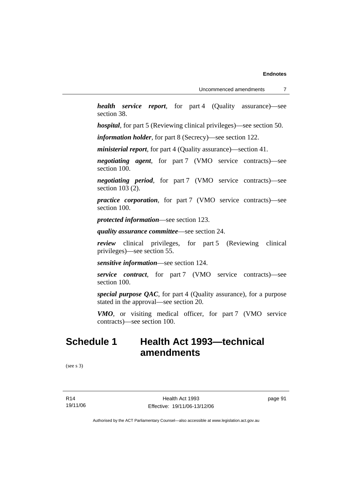*health service report*, for part 4 (Quality assurance)—see section 38.

*hospital*, for part 5 (Reviewing clinical privileges)—see section 50.

*information holder*, for part 8 (Secrecy)—see section 122.

*ministerial report*, for part 4 (Quality assurance)—section 41.

*negotiating agent*, for part 7 (VMO service contracts)—see section 100.

*negotiating period*, for part 7 (VMO service contracts)—see section 103 (2).

*practice corporation*, for part 7 (VMO service contracts)—see section 100.

*protected information*—see section 123.

*quality assurance committee*—see section 24.

*review* clinical privileges, for part 5 (Reviewing clinical privileges)—see section 55.

*sensitive information*—see section 124.

*service contract*, for part 7 (VMO service contracts)—see section 100.

*special purpose QAC*, for part 4 (Quality assurance), for a purpose stated in the approval—see section 20.

*VMO*, or visiting medical officer, for part 7 (VMO service contracts)—see section 100.

# **Schedule 1 Health Act 1993—technical amendments**

(see s 3)

R14 19/11/06

Health Act 1993 Effective: 19/11/06-13/12/06 page 91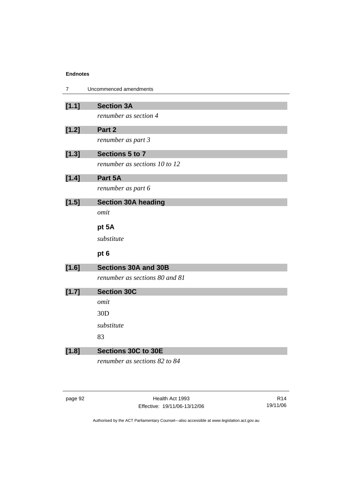| $\overline{7}$ | Uncommenced amendments         |
|----------------|--------------------------------|
| [1.1]          | <b>Section 3A</b>              |
|                | renumber as section 4          |
| [1.2]          | Part 2                         |
|                | renumber as part 3             |
|                |                                |
| [1.3]          | Sections 5 to 7                |
|                | renumber as sections 10 to 12  |
| [1.4]          | Part 5A                        |
|                | renumber as part 6             |
| [1.5]          | <b>Section 30A heading</b>     |
|                | omit                           |
|                | pt 5A                          |
|                | substitute                     |
|                | pt 6                           |
| $[1.6]$        | <b>Sections 30A and 30B</b>    |
|                | renumber as sections 80 and 81 |
| [1.7]          | <b>Section 30C</b>             |
|                | omit                           |
|                | 30 <sub>D</sub>                |
|                | substitute                     |
|                | 83                             |
| [1.8]          | Sections 30C to 30E            |
|                | renumber as sections 82 to 84  |

| ane |  |
|-----|--|
|-----|--|

Health Act 1993 Effective: 19/11/06-13/12/06

R14 19/11/06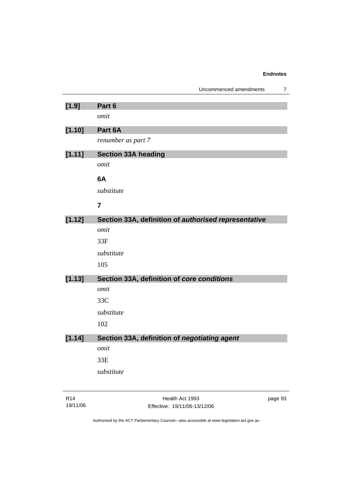|         | Uncommenced amendments<br>7                          |
|---------|------------------------------------------------------|
| $[1.9]$ | Part 6                                               |
|         | omit                                                 |
| [1.10]  | Part 6A                                              |
|         | renumber as part 7                                   |
| [1.11]  | <b>Section 33A heading</b>                           |
|         | omit                                                 |
|         |                                                      |
|         | 6A                                                   |
|         | substitute                                           |
|         | $\overline{7}$                                       |
| [1.12]  | Section 33A, definition of authorised representative |
|         | omit                                                 |
|         | 33F                                                  |
|         | substitute                                           |
|         | 105                                                  |
| [1.13]  | Section 33A, definition of core conditions           |
|         | omit                                                 |
|         | 33C                                                  |
|         | substitute                                           |
|         | 102                                                  |
| [1.14]  | Section 33A, definition of <i>negotiating agent</i>  |
|         | omit                                                 |
|         | 33E                                                  |
|         | substitute                                           |
|         |                                                      |
|         |                                                      |

Health Act 1993 Effective: 19/11/06-13/12/06 page 93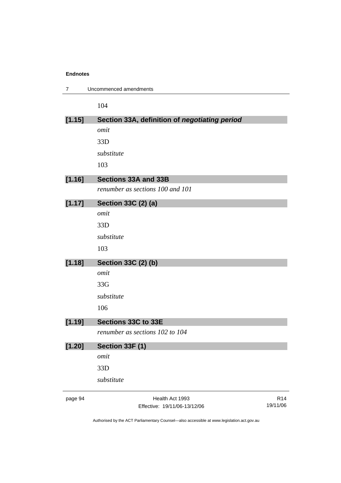| $\overline{7}$ | Uncommenced amendments                        |                 |
|----------------|-----------------------------------------------|-----------------|
|                | 104                                           |                 |
| [1.15]         | Section 33A, definition of negotiating period |                 |
|                | omit                                          |                 |
|                | 33D                                           |                 |
|                | substitute                                    |                 |
|                | 103                                           |                 |
| [1.16]         | <b>Sections 33A and 33B</b>                   |                 |
|                | renumber as sections 100 and 101              |                 |
| [1.17]         | Section 33C (2) (a)                           |                 |
|                | omit                                          |                 |
|                | 33D                                           |                 |
|                | substitute                                    |                 |
|                | 103                                           |                 |
| [1.18]         | Section 33C (2) (b)                           |                 |
|                | omit                                          |                 |
|                | 33G                                           |                 |
|                | substitute                                    |                 |
|                | 106                                           |                 |
| [1.19]         | Sections 33C to 33E                           |                 |
|                | renumber as sections 102 to 104               |                 |
| [1.20]         | Section 33F (1)                               |                 |
|                | omit                                          |                 |
|                | 33D                                           |                 |
|                | substitute                                    |                 |
| page 94        | Health Act 1993                               | R <sub>14</sub> |
|                | Effective: 19/11/06-13/12/06                  | 19/11/06        |

Authorised by the ACT Parliamentary Counsel—also accessible at www.legislation.act.gov.au

Effective: 19/11/06-13/12/06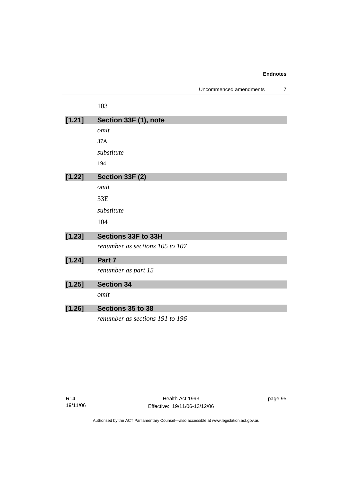| Uncommenced amendments |  |
|------------------------|--|
|------------------------|--|

|        | 103                             |
|--------|---------------------------------|
| [1.21] | Section 33F (1), note           |
|        | omit                            |
|        | 37A                             |
|        | substitute                      |
|        | 194                             |
| [1.22] | Section 33F (2)                 |
|        | omit                            |
|        | 33E                             |
|        | substitute                      |
|        | 104                             |
| [1.23] | Sections 33F to 33H             |
|        | renumber as sections 105 to 107 |
| [1.24] | Part 7                          |
|        | renumber as part 15             |
| [1.25] | <b>Section 34</b>               |
|        | omit                            |
| [1.26] | Sections 35 to 38               |
|        | renumber as sections 191 to 196 |

page 95